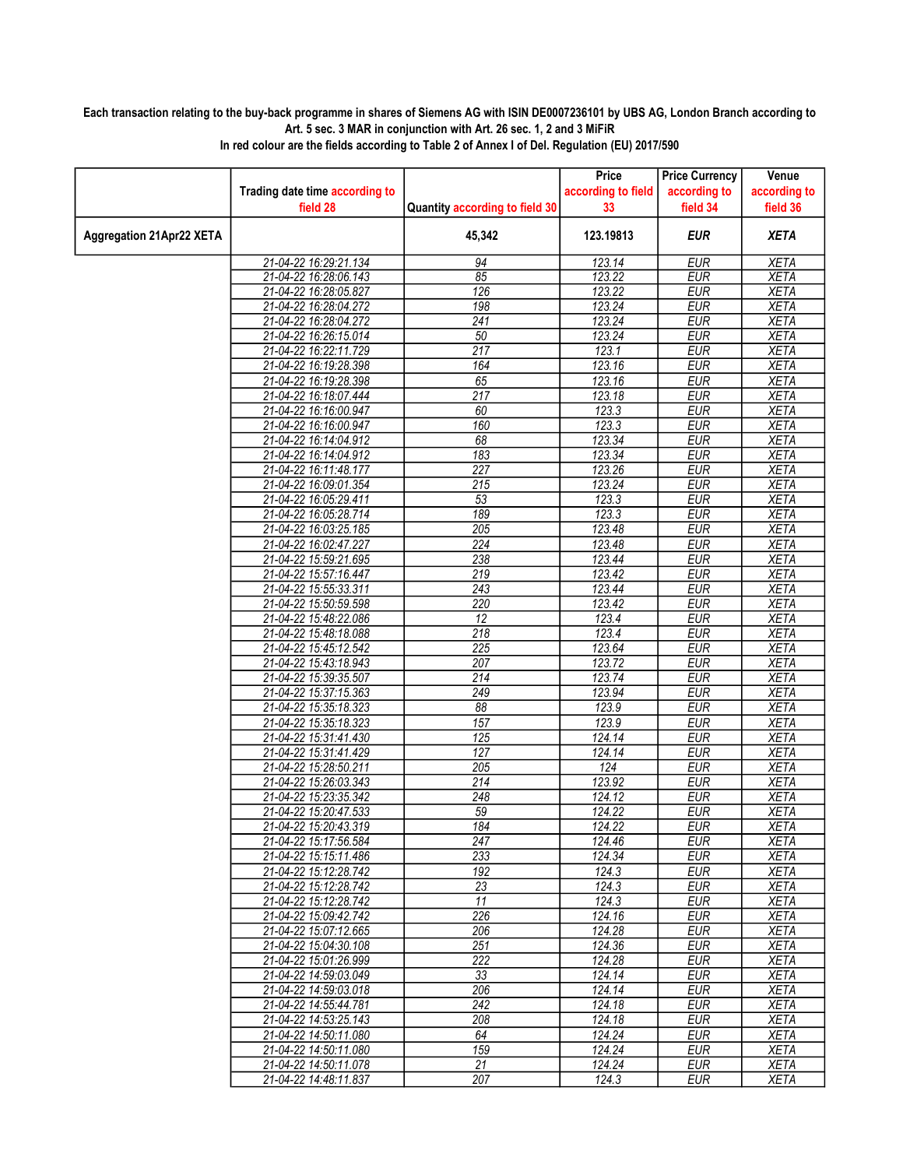## Each transaction relating to the buy-back programme in shares of Siemens AG with ISIN DE0007236101 by UBS AG, London Branch according to Art. 5 sec. 3 MAR in conjunction with Art. 26 sec. 1, 2 and 3 MiFiR

|                                 |                                |                                | Price              | <b>Price Currency</b> | Venue        |
|---------------------------------|--------------------------------|--------------------------------|--------------------|-----------------------|--------------|
|                                 | Trading date time according to |                                | according to field | according to          | according to |
|                                 | field 28                       | Quantity according to field 30 | 33                 | field 34              | field 36     |
| <b>Aggregation 21Apr22 XETA</b> |                                | 45,342                         | 123.19813          | <b>EUR</b>            | <b>XETA</b>  |
|                                 |                                |                                |                    |                       |              |
|                                 | 21-04-22 16:29:21.134          | 94                             | 123.14             | <b>EUR</b>            | <b>XETA</b>  |
|                                 | 21-04-22 16:28:06.143          | 85                             | 123.22             | <b>EUR</b>            | <b>XETA</b>  |
|                                 | 21-04-22 16:28:05.827          | 126                            | 123.22             | <b>EUR</b>            | <b>XETA</b>  |
|                                 | 21-04-22 16:28:04.272          | 198                            | 123.24             | <b>EUR</b>            | <b>XETA</b>  |
|                                 | 21-04-22 16:28:04.272          | $\overline{241}$               | 123.24             | <b>EUR</b>            | <b>XETA</b>  |
|                                 | 21-04-22 16:26:15.014          | 50                             | 123.24             | <b>EUR</b>            | <b>XETA</b>  |
|                                 | 21-04-22 16:22:11.729          | 217                            | 123.1              | <b>EUR</b>            | <b>XETA</b>  |
|                                 | 21-04-22 16:19:28.398          | 164                            | 123.16             | <b>EUR</b>            | <b>XETA</b>  |
|                                 | 21-04-22 16:19:28.398          | 65                             | 123.16             | <b>EUR</b>            | <b>XETA</b>  |
|                                 | 21-04-22 16:18:07.444          | $\overline{217}$               | 123.18             | <b>EUR</b>            | <b>XETA</b>  |
|                                 | 21-04-22 16:16:00.947          | 60                             | 123.3              | <b>EUR</b>            | <b>XETA</b>  |
|                                 | 21-04-22 16:16:00.947          | 160                            | 123.3              | <b>EUR</b>            | <b>XETA</b>  |
|                                 | 21-04-22 16:14:04.912          | 68                             | 123.34             | <b>EUR</b>            | <b>XETA</b>  |
|                                 | 21-04-22 16:14:04.912          | 183                            | 123.34             | <b>EUR</b>            | <b>XETA</b>  |
|                                 | 21-04-22 16:11:48.177          | 227                            | 123.26             | <b>EUR</b>            | <b>XETA</b>  |
|                                 | 21-04-22 16:09:01.354          | 215                            | 123.24             | <b>EUR</b>            | <b>XETA</b>  |
|                                 | 21-04-22 16:05:29.411          | $\overline{53}$                | 123.3              | <b>EUR</b>            | <b>XETA</b>  |
|                                 | 21-04-22 16:05:28.714          | 189                            | 123.3              | <b>EUR</b>            | <b>XETA</b>  |
|                                 | 21-04-22 16:03:25.185          | $\overline{205}$               | 123.48             | <b>EUR</b>            | <b>XETA</b>  |
|                                 | 21-04-22 16:02:47.227          | $\overline{224}$               | 123.48             | <b>EUR</b>            | <b>XETA</b>  |
|                                 | 21-04-22 15:59:21.695          | 238                            | 123.44             | <b>EUR</b>            | <b>XETA</b>  |
|                                 | 21-04-22 15:57:16.447          | 219                            | 123.42             | <b>EUR</b>            | <b>XETA</b>  |
|                                 | 21-04-22 15:55:33.311          | 243                            | 123.44             | <b>EUR</b>            | <b>XETA</b>  |
|                                 | 21-04-22 15:50:59.598          | 220                            | 123.42             | <b>EUR</b>            | <b>XETA</b>  |
|                                 | 21-04-22 15:48:22.086          | 12                             | 123.4              | <b>EUR</b>            | <b>XETA</b>  |
|                                 | 21-04-22 15:48:18.088          | $\overline{218}$               | 123.4              | <b>EUR</b>            | <b>XETA</b>  |
|                                 | 21-04-22 15:45:12.542          | 225                            | 123.64             | <b>EUR</b>            | <b>XETA</b>  |
|                                 | 21-04-22 15:43:18.943          | 207                            | 123.72             | <b>EUR</b>            | <b>XETA</b>  |
|                                 | 21-04-22 15:39:35.507          | 214                            | 123.74             | <b>EUR</b>            | <b>XETA</b>  |
|                                 | 21-04-22 15:37:15.363          | 249                            | 123.94             | <b>EUR</b>            | <b>XETA</b>  |
|                                 | 21-04-22 15:35:18.323          | 88                             | 123.9              | <b>EUR</b>            | <b>XETA</b>  |
|                                 | 21-04-22 15:35:18.323          | 157                            | 123.9              | <b>EUR</b>            | <b>XETA</b>  |
|                                 | 21-04-22 15:31:41.430          | 125                            | 124.14             | <b>EUR</b>            | <b>XETA</b>  |
|                                 | 21-04-22 15:31:41.429          | 127                            | 124.14             | <b>EUR</b>            | <b>XETA</b>  |
|                                 | 21-04-22 15:28:50.211          | 205                            | 124                | <b>EUR</b>            | <b>XETA</b>  |
|                                 | 21-04-22 15:26:03.343          | 214                            | 123.92             | <b>EUR</b>            | <b>XETA</b>  |
|                                 | 21-04-22 15:23:35.342          | 248                            | 124.12             | <b>EUR</b>            | <b>XETA</b>  |
|                                 | 21-04-22 15:20:47.533          | 59                             | 124.22             | <b>EUR</b>            | <b>XETA</b>  |
|                                 | 21-04-22 15:20:43.319          | 184                            | 124.22             | <b>EUR</b>            | <b>XETA</b>  |
|                                 | 21-04-22 15:17:56.584          | 247                            | 124.46             | EUR                   | <b>XETA</b>  |
|                                 | 21-04-22 15:15:11.486          | 233                            | 124.34             | EUR                   | XETA         |
|                                 | 21-04-22 15:12:28.742          | $\overline{192}$               | 124.3              | <b>EUR</b>            | <b>XETA</b>  |
|                                 | 21-04-22 15:12:28.742          | $\overline{23}$                | 124.3              | <b>EUR</b>            | <b>XETA</b>  |
|                                 | 21-04-22 15:12:28.742          | 11                             | 124.3              | <b>EUR</b>            | <b>XETA</b>  |
|                                 | 21-04-22 15:09:42.742          | 226                            | 124.16             | <b>EUR</b>            | <b>XETA</b>  |
|                                 | 21-04-22 15:07:12.665          | 206                            | 124.28             | <b>EUR</b>            | <b>XETA</b>  |
|                                 | 21-04-22 15:04:30.108          | 251                            | 124.36             | EUR                   | <b>XETA</b>  |
|                                 | 21-04-22 15:01:26.999          | $\overline{222}$               | 124.28             | <b>EUR</b>            | <b>XETA</b>  |
|                                 | 21-04-22 14:59:03.049          | 33                             | 124.14             | <b>EUR</b>            | <b>XETA</b>  |
|                                 | 21-04-22 14:59:03.018          | 206                            | 124.14             | <b>EUR</b>            | <b>XETA</b>  |
|                                 | 21-04-22 14:55:44.781          | 242                            | 124.18             | <b>EUR</b>            | <b>XETA</b>  |
|                                 | 21-04-22 14:53:25.143          | 208                            | 124.18             | EUR                   | <b>XETA</b>  |
|                                 | 21-04-22 14:50:11.080          | 64                             | 124.24             | EUR                   | <b>XETA</b>  |
|                                 | 21-04-22 14:50:11.080          | 159                            | 124.24             | <b>EUR</b>            | <b>XETA</b>  |
|                                 | 21-04-22 14:50:11.078          | $\overline{21}$                | 124.24             | <b>EUR</b>            | XETA         |
|                                 | 21-04-22 14:48:11.837          | 207                            | 124.3              | <b>EUR</b>            | <b>XETA</b>  |

In red colour are the fields according to Table 2 of Annex I of Del. Regulation (EU) 2017/590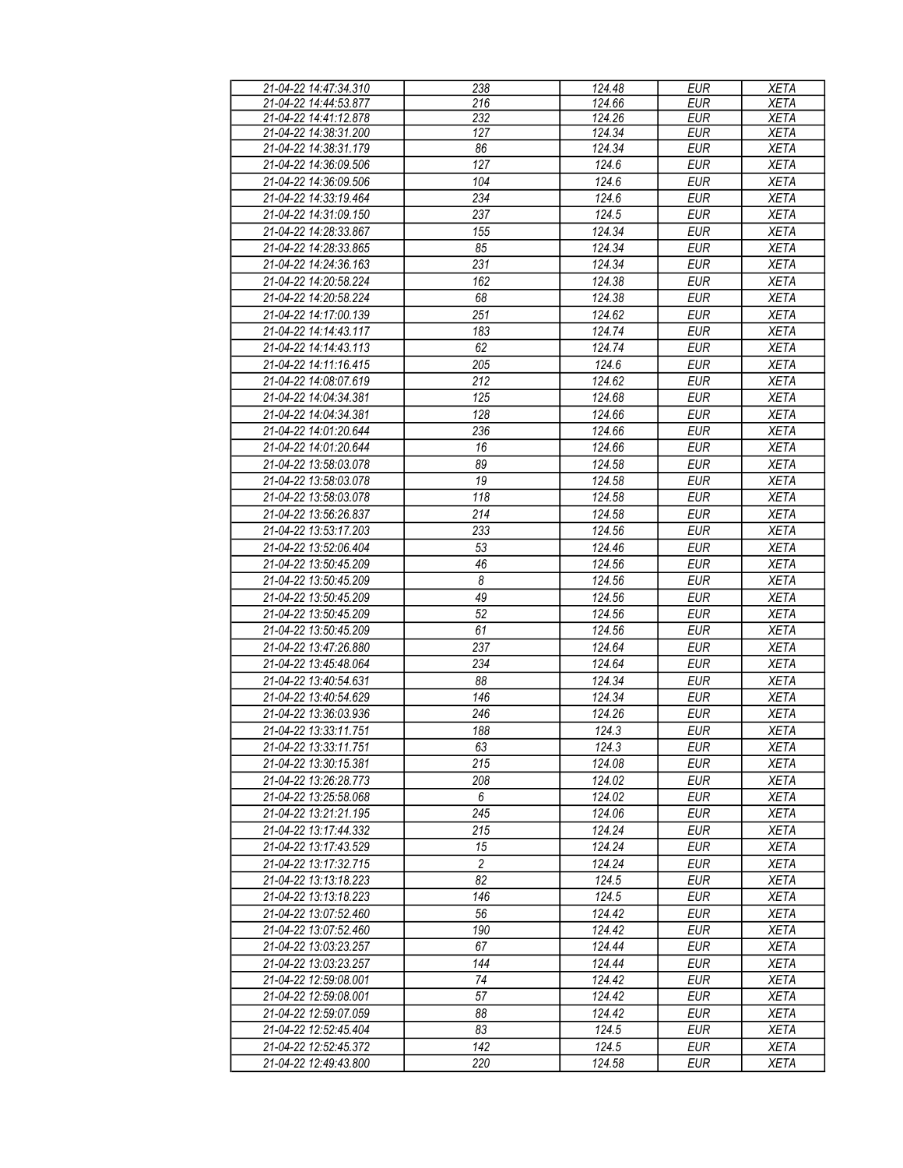| 21-04-22 14:47:34.310 | 238                   | 124.48 | <b>EUR</b> | <b>XETA</b> |
|-----------------------|-----------------------|--------|------------|-------------|
| 21-04-22 14:44:53.877 | 216                   | 124.66 | <b>EUR</b> | <b>XETA</b> |
| 21-04-22 14:41:12.878 | 232                   | 124.26 | <b>EUR</b> | <b>XETA</b> |
| 21-04-22 14:38:31.200 | 127                   | 124.34 | <b>EUR</b> | <b>XETA</b> |
| 21-04-22 14:38:31.179 | 86                    | 124.34 | <b>EUR</b> | <b>XETA</b> |
| 21-04-22 14:36:09.506 | 127                   | 124.6  | <b>EUR</b> | <b>XETA</b> |
|                       |                       | 124.6  | <b>EUR</b> |             |
| 21-04-22 14:36:09.506 | 104                   |        |            | <b>XETA</b> |
| 21-04-22 14:33:19.464 | 234                   | 124.6  | <b>EUR</b> | <b>XETA</b> |
| 21-04-22 14:31:09.150 | 237                   | 124.5  | <b>EUR</b> | <b>XETA</b> |
| 21-04-22 14:28:33.867 | 155                   | 124.34 | <b>EUR</b> | <b>XETA</b> |
| 21-04-22 14:28:33.865 | 85                    | 124.34 | <b>EUR</b> | <b>XETA</b> |
| 21-04-22 14:24:36.163 | 231                   | 124.34 | <b>EUR</b> | <b>XETA</b> |
| 21-04-22 14:20:58.224 | 162                   | 124.38 | <b>EUR</b> | <b>XETA</b> |
| 21-04-22 14:20:58.224 | 68                    | 124.38 | <b>EUR</b> | <b>XETA</b> |
| 21-04-22 14:17:00.139 | 251                   | 124.62 | <b>EUR</b> | <b>XETA</b> |
| 21-04-22 14:14:43.117 | 183                   | 124.74 | <b>EUR</b> | <b>XETA</b> |
|                       |                       | 124.74 | <b>EUR</b> |             |
| 21-04-22 14:14:43.113 | 62                    |        |            | <b>XETA</b> |
| 21-04-22 14:11:16.415 | 205                   | 124.6  | <b>EUR</b> | <b>XETA</b> |
| 21-04-22 14:08:07.619 | 212                   | 124.62 | <b>EUR</b> | <b>XETA</b> |
| 21-04-22 14:04:34.381 | 125                   | 124.68 | <b>EUR</b> | <b>XETA</b> |
| 21-04-22 14:04:34.381 | 128                   | 124.66 | <b>EUR</b> | <b>XETA</b> |
| 21-04-22 14:01:20.644 | 236                   | 124.66 | <b>EUR</b> | <b>XETA</b> |
| 21-04-22 14:01:20.644 | 16                    | 124.66 | <b>EUR</b> | <b>XETA</b> |
| 21-04-22 13:58:03.078 | 89                    | 124.58 | <b>EUR</b> | <b>XETA</b> |
| 21-04-22 13:58:03.078 | 19                    | 124.58 | <b>EUR</b> | <b>XETA</b> |
| 21-04-22 13:58:03.078 | 118                   | 124.58 | <b>EUR</b> | <b>XETA</b> |
|                       |                       |        |            |             |
| 21-04-22 13:56:26.837 | 214                   | 124.58 | <b>EUR</b> | <b>XETA</b> |
| 21-04-22 13:53:17.203 | 233                   | 124.56 | <b>EUR</b> | <b>XETA</b> |
| 21-04-22 13:52:06.404 | 53                    | 124.46 | <b>EUR</b> | <b>XETA</b> |
| 21-04-22 13:50:45.209 | 46                    | 124.56 | <b>EUR</b> | <b>XETA</b> |
| 21-04-22 13:50:45.209 | $\boldsymbol{\delta}$ | 124.56 | <b>EUR</b> | <b>XETA</b> |
| 21-04-22 13:50:45.209 | 49                    | 124.56 | <b>EUR</b> | <b>XETA</b> |
| 21-04-22 13:50:45.209 | 52                    | 124.56 | <b>EUR</b> | <b>XETA</b> |
| 21-04-22 13:50:45.209 | 61                    | 124.56 | <b>EUR</b> | <b>XETA</b> |
| 21-04-22 13:47:26.880 | 237                   | 124.64 | <b>EUR</b> | <b>XETA</b> |
| 21-04-22 13:45:48.064 | 234                   | 124.64 | <b>EUR</b> | <b>XETA</b> |
| 21-04-22 13:40:54.631 | 88                    | 124.34 | <b>EUR</b> | <b>XETA</b> |
| 21-04-22 13:40:54.629 | 146                   | 124.34 | <b>EUR</b> | <b>XETA</b> |
|                       |                       |        |            |             |
| 21-04-22 13:36:03.936 | 246                   | 124.26 | <b>EUR</b> | <b>XETA</b> |
| 21-04-22 13:33:11.751 | 188                   | 124.3  | <b>EUR</b> | <b>XETA</b> |
| 21-04-22 13:33:11.751 | 63                    | 124.3  | EUR        | <b>XETA</b> |
| 21-04-22 13:30:15.381 | 215                   | 124.08 | <b>EUR</b> | <b>XETA</b> |
| 21-04-22 13:26:28.773 | 208                   | 124.02 | EUR        | XETA        |
| 21-04-22 13:25:58.068 | 6                     | 124.02 | EUR        | <b>XETA</b> |
| 21-04-22 13:21:21.195 | 245                   | 124.06 | <b>EUR</b> | XETA        |
| 21-04-22 13:17:44.332 | 215                   | 124.24 | <b>EUR</b> | XETA        |
| 21-04-22 13:17:43.529 | 15                    | 124.24 | EUR        | XETA        |
| 21-04-22 13:17:32.715 | $\overline{2}$        | 124.24 | <b>EUR</b> | <b>XETA</b> |
| 21-04-22 13:13:18.223 | 82                    | 124.5  | <b>EUR</b> | <b>XETA</b> |
| 21-04-22 13:13:18.223 | 146                   | 124.5  | <b>EUR</b> | <b>XETA</b> |
|                       |                       |        |            |             |
| 21-04-22 13:07:52.460 | 56                    | 124.42 | EUR        | <b>XETA</b> |
| 21-04-22 13:07:52.460 | 190                   | 124.42 | <b>EUR</b> | XETA        |
| 21-04-22 13:03:23.257 | 67                    | 124.44 | <b>EUR</b> | XETA        |
| 21-04-22 13:03:23.257 | 144                   | 124.44 | <b>EUR</b> | XETA        |
| 21-04-22 12:59:08.001 | 74                    | 124.42 | <b>EUR</b> | <b>XETA</b> |
| 21-04-22 12:59:08.001 | 57                    | 124.42 | <b>EUR</b> | <b>XETA</b> |
| 21-04-22 12:59:07.059 | 88                    | 124.42 | <b>EUR</b> | <b>XETA</b> |
| 21-04-22 12:52:45.404 | 83                    | 124.5  | <b>EUR</b> | <b>XETA</b> |
| 21-04-22 12:52:45.372 | 142                   | 124.5  | <b>EUR</b> | <b>XETA</b> |
| 21-04-22 12:49:43.800 | 220                   | 124.58 | EUR        | <b>XETA</b> |
|                       |                       |        |            |             |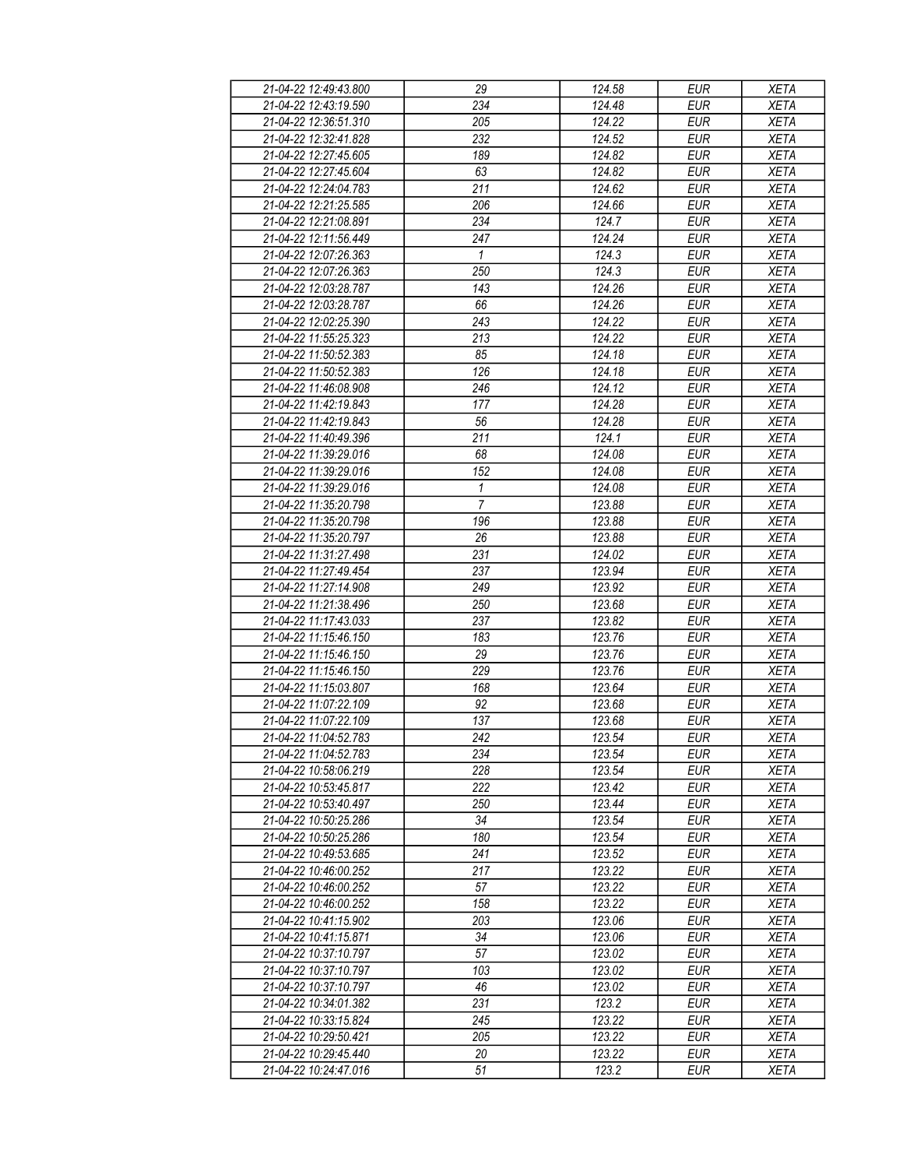| 21-04-22 12:49:43.800 | 29               | 124.58 | EUR        | <b>XETA</b> |
|-----------------------|------------------|--------|------------|-------------|
| 21-04-22 12:43:19.590 | 234              | 124.48 | <b>EUR</b> | <b>XETA</b> |
| 21-04-22 12:36:51.310 | $\overline{205}$ | 124.22 | <b>EUR</b> | <b>XETA</b> |
| 21-04-22 12:32:41.828 | 232              | 124.52 | <b>EUR</b> | <b>XETA</b> |
| 21-04-22 12:27:45.605 | 189              | 124.82 | <b>EUR</b> | <b>XETA</b> |
| 21-04-22 12:27:45.604 | 63               | 124.82 | <b>EUR</b> | <b>XETA</b> |
|                       |                  |        |            |             |
| 21-04-22 12:24:04.783 | 211              | 124.62 | <b>EUR</b> | <b>XETA</b> |
| 21-04-22 12:21:25.585 | 206              | 124.66 | <b>EUR</b> | <b>XETA</b> |
| 21-04-22 12:21:08.891 | 234              | 124.7  | <b>EUR</b> | <b>XETA</b> |
| 21-04-22 12:11:56.449 | 247              | 124.24 | <b>EUR</b> | <b>XETA</b> |
| 21-04-22 12:07:26.363 | $\mathbf{1}$     | 124.3  | <b>EUR</b> | <b>XETA</b> |
| 21-04-22 12:07:26.363 | 250              | 124.3  | <b>EUR</b> | <b>XETA</b> |
| 21-04-22 12:03:28.787 | 143              | 124.26 | <b>EUR</b> | <b>XETA</b> |
| 21-04-22 12:03:28.787 | 66               | 124.26 | <b>EUR</b> | <b>XETA</b> |
| 21-04-22 12:02:25.390 | 243              | 124.22 | <b>EUR</b> | <b>XETA</b> |
| 21-04-22 11:55:25.323 | 213              | 124.22 | <b>EUR</b> | <b>XETA</b> |
| 21-04-22 11:50:52.383 | 85               | 124.18 | <b>EUR</b> | <b>XETA</b> |
| 21-04-22 11:50:52.383 | 126              | 124.18 | <b>EUR</b> | <b>XETA</b> |
| 21-04-22 11:46:08.908 | 246              | 124.12 | <b>EUR</b> | <b>XETA</b> |
| 21-04-22 11:42:19.843 | 177              | 124.28 | <b>EUR</b> | <b>XETA</b> |
| 21-04-22 11:42:19.843 | 56               | 124.28 | <b>EUR</b> | <b>XETA</b> |
| 21-04-22 11:40:49.396 | 211              | 124.1  | <b>EUR</b> | <b>XETA</b> |
| 21-04-22 11:39:29.016 | 68               | 124.08 | <b>EUR</b> | <b>XETA</b> |
| 21-04-22 11:39:29.016 | 152              | 124.08 | <b>EUR</b> | <b>XETA</b> |
| 21-04-22 11:39:29.016 | $\mathbf{1}$     | 124.08 | <b>EUR</b> | <b>XETA</b> |
| 21-04-22 11:35:20.798 | $\overline{7}$   | 123.88 | <b>EUR</b> | <b>XETA</b> |
| 21-04-22 11:35:20.798 | 196              | 123.88 | <b>EUR</b> | <b>XETA</b> |
| 21-04-22 11:35:20.797 | 26               | 123.88 | <b>EUR</b> | <b>XETA</b> |
| 21-04-22 11:31:27.498 | 231              | 124.02 | <b>EUR</b> | <b>XETA</b> |
| 21-04-22 11:27:49.454 | 237              | 123.94 | <b>EUR</b> | <b>XETA</b> |
| 21-04-22 11:27:14.908 | 249              | 123.92 | <b>EUR</b> | <b>XETA</b> |
| 21-04-22 11:21:38.496 | 250              | 123.68 | <b>EUR</b> | <b>XETA</b> |
|                       |                  |        |            |             |
| 21-04-22 11:17:43.033 | 237              | 123.82 | <b>EUR</b> | <b>XETA</b> |
| 21-04-22 11:15:46.150 | 183              | 123.76 | <b>EUR</b> | <b>XETA</b> |
| 21-04-22 11:15:46.150 | 29               | 123.76 | <b>EUR</b> | <b>XETA</b> |
| 21-04-22 11:15:46.150 | 229              | 123.76 | <b>EUR</b> | <b>XETA</b> |
| 21-04-22 11:15:03.807 | 168              | 123.64 | <b>EUR</b> | <b>XETA</b> |
| 21-04-22 11:07:22.109 | 92               | 123.68 | <b>EUR</b> | <b>XETA</b> |
| 21-04-22 11:07:22.109 | 137              | 123.68 | <b>EUR</b> | <b>XETA</b> |
| 21-04-22 11:04:52.783 | 242              | 123.54 | <b>EUR</b> | <b>XETA</b> |
| 21-04-22 11:04:52.783 | 234              | 123.54 | EUR        | XETA        |
| 21-04-22 10:58:06.219 | 228              | 123.54 | <b>EUR</b> | <b>XETA</b> |
| 21-04-22 10:53:45.817 | 222              | 123.42 | <b>EUR</b> | <b>XETA</b> |
| 21-04-22 10:53:40.497 | 250              | 123.44 | <b>EUR</b> | <b>XETA</b> |
| 21-04-22 10:50:25.286 | 34               | 123.54 | EUR        | <b>XETA</b> |
| 21-04-22 10:50:25.286 | 180              | 123.54 | <b>EUR</b> | <b>XETA</b> |
| 21-04-22 10:49:53.685 | 241              | 123.52 | <b>EUR</b> | <b>XETA</b> |
| 21-04-22 10:46:00.252 | 217              | 123.22 | <b>EUR</b> | <b>XETA</b> |
| 21-04-22 10:46:00.252 | 57               | 123.22 | <b>EUR</b> | <b>XETA</b> |
| 21-04-22 10:46:00.252 | 158              | 123.22 | EUR        | <b>XETA</b> |
| 21-04-22 10:41:15.902 | 203              | 123.06 | <b>EUR</b> | <b>XETA</b> |
| 21-04-22 10:41:15.871 | 34               | 123.06 | EUR        | <b>XETA</b> |
| 21-04-22 10:37:10.797 | 57               | 123.02 | <b>EUR</b> | <b>XETA</b> |
| 21-04-22 10:37:10.797 | 103              | 123.02 | EUR        | <b>XETA</b> |
| 21-04-22 10:37:10.797 | 46               | 123.02 | EUR        | <b>XETA</b> |
| 21-04-22 10:34:01.382 | 231              | 123.2  | EUR        | <b>XETA</b> |
| 21-04-22 10:33:15.824 | 245              | 123.22 | <b>EUR</b> | <b>XETA</b> |
| 21-04-22 10:29:50.421 | 205              | 123.22 | EUR        | XETA        |
| 21-04-22 10:29:45.440 | 20               | 123.22 | EUR        | <b>XETA</b> |
| 21-04-22 10:24:47.016 | 51               | 123.2  | EUR        | XETA        |
|                       |                  |        |            |             |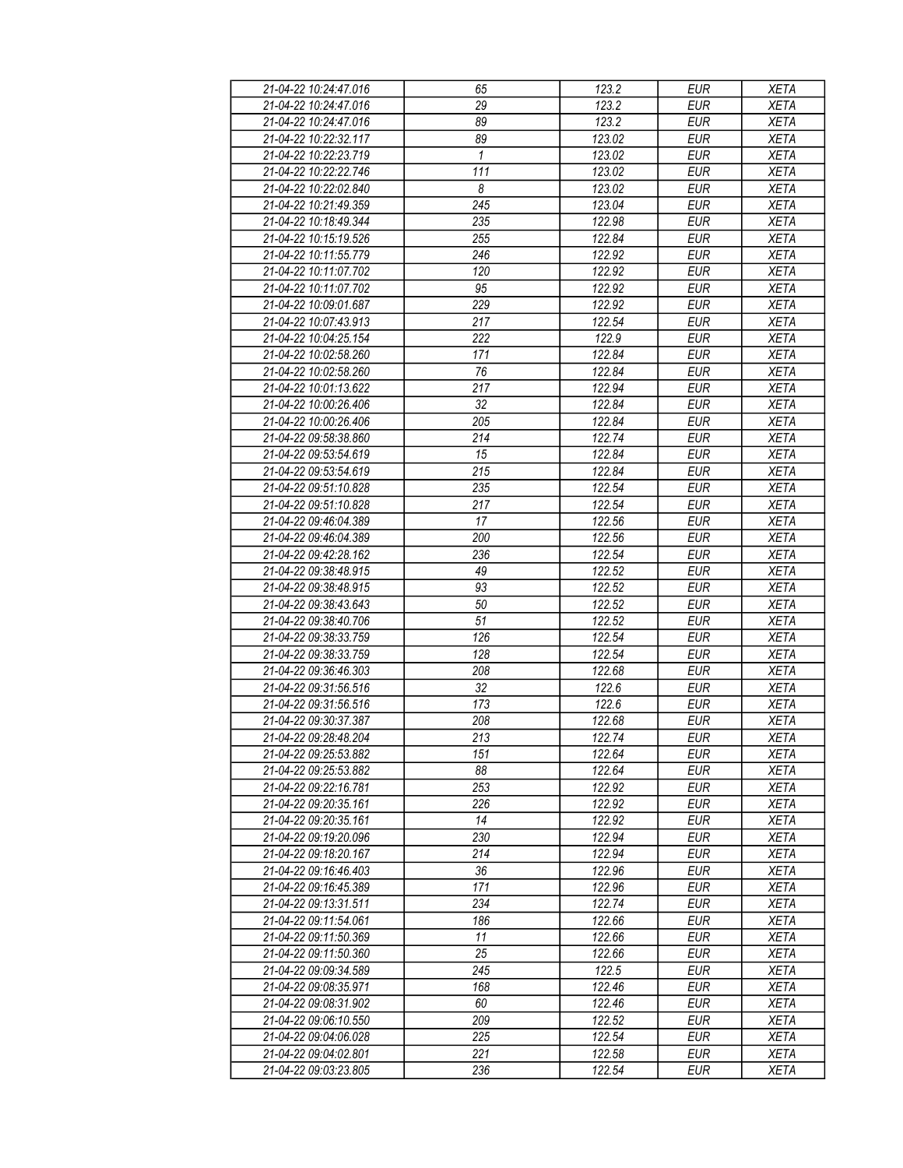| 21-04-22 10:24:47.016 | 65           | 123.2  | <b>EUR</b> | <b>XETA</b> |
|-----------------------|--------------|--------|------------|-------------|
| 21-04-22 10:24:47.016 | 29           | 123.2  | <b>EUR</b> | <b>XETA</b> |
| 21-04-22 10:24:47.016 | 89           | 123.2  | <b>EUR</b> | <b>XETA</b> |
| 21-04-22 10:22:32.117 | 89           | 123.02 | <b>EUR</b> | <b>XETA</b> |
| 21-04-22 10:22:23.719 | $\mathbf{1}$ | 123.02 | <b>EUR</b> | <b>XETA</b> |
| 21-04-22 10:22:22.746 | 111          | 123.02 | <b>EUR</b> | <b>XETA</b> |
| 21-04-22 10:22:02.840 | 8            | 123.02 | <b>EUR</b> | <b>XETA</b> |
| 21-04-22 10:21:49.359 | 245          | 123.04 | <b>EUR</b> | <b>XETA</b> |
| 21-04-22 10:18:49.344 | 235          | 122.98 | <b>EUR</b> | <b>XETA</b> |
|                       |              |        |            | <b>XETA</b> |
| 21-04-22 10:15:19.526 | 255          | 122.84 | <b>EUR</b> |             |
| 21-04-22 10:11:55.779 | 246          | 122.92 | <b>EUR</b> | <b>XETA</b> |
| 21-04-22 10:11:07.702 | 120          | 122.92 | <b>EUR</b> | <b>XETA</b> |
| 21-04-22 10:11:07.702 | 95           | 122.92 | <b>EUR</b> | <b>XETA</b> |
| 21-04-22 10:09:01.687 | 229          | 122.92 | <b>EUR</b> | <b>XETA</b> |
| 21-04-22 10:07:43.913 | 217          | 122.54 | <b>EUR</b> | <b>XETA</b> |
| 21-04-22 10:04:25.154 | 222          | 122.9  | <b>EUR</b> | <b>XETA</b> |
| 21-04-22 10:02:58.260 | 171          | 122.84 | <b>EUR</b> | <b>XETA</b> |
| 21-04-22 10:02:58.260 | 76           | 122.84 | <b>EUR</b> | <b>XETA</b> |
| 21-04-22 10:01:13.622 | 217          | 122.94 | <b>EUR</b> | <b>XETA</b> |
| 21-04-22 10:00:26.406 | 32           | 122.84 | <b>EUR</b> | <b>XETA</b> |
| 21-04-22 10:00:26.406 | 205          | 122.84 | <b>EUR</b> | <b>XETA</b> |
| 21-04-22 09:58:38.860 | 214          | 122.74 | <b>EUR</b> | <b>XETA</b> |
| 21-04-22 09:53:54.619 | 15           | 122.84 | <b>EUR</b> | <b>XETA</b> |
| 21-04-22 09:53:54.619 | 215          | 122.84 | <b>EUR</b> | XETA        |
| 21-04-22 09:51:10.828 | 235          | 122.54 | <b>EUR</b> | <b>XETA</b> |
| 21-04-22 09:51:10.828 | 217          | 122.54 | <b>EUR</b> | <b>XETA</b> |
| 21-04-22 09:46:04.389 | 17           | 122.56 | <b>EUR</b> | <b>XETA</b> |
| 21-04-22 09:46:04.389 | 200          | 122.56 | <b>EUR</b> | <b>XETA</b> |
| 21-04-22 09:42:28.162 | 236          | 122.54 | <b>EUR</b> | <b>XETA</b> |
| 21-04-22 09:38:48.915 | 49           | 122.52 | <b>EUR</b> | <b>XETA</b> |
| 21-04-22 09:38:48.915 | 93           | 122.52 | <b>EUR</b> | <b>XETA</b> |
| 21-04-22 09:38:43.643 | 50           | 122.52 | <b>EUR</b> | <b>XETA</b> |
| 21-04-22 09:38:40.706 | 51           | 122.52 | <b>EUR</b> | <b>XETA</b> |
| 21-04-22 09:38:33.759 | 126          | 122.54 | <b>EUR</b> | <b>XETA</b> |
| 21-04-22 09:38:33.759 | 128          | 122.54 | <b>EUR</b> | <b>XETA</b> |
| 21-04-22 09:36:46.303 | 208          | 122.68 | <b>EUR</b> | <b>XETA</b> |
| 21-04-22 09:31:56.516 | 32           | 122.6  |            |             |
|                       |              |        | <b>EUR</b> | <b>XETA</b> |
| 21-04-22 09:31:56.516 | 173          | 122.6  | <b>EUR</b> | <b>XETA</b> |
| 21-04-22 09:30:37.387 | 208          | 122.68 | <b>EUR</b> | <b>XETA</b> |
| 21-04-22 09:28:48.204 | 213          | 122.74 | <b>EUR</b> | <b>XETA</b> |
| 21-04-22 09:25:53.882 | 151          | 122.64 | <b>EUR</b> | <b>XETA</b> |
| 21-04-22 09:25:53.882 | 88           | 122.64 | <b>EUR</b> | <b>XETA</b> |
| 21-04-22 09:22:16.781 | 253          | 122.92 | <b>EUR</b> | <b>XETA</b> |
| 21-04-22 09:20:35.161 | 226          | 122.92 | <b>EUR</b> | XETA        |
| 21-04-22 09:20:35.161 | 14           | 122.92 | <b>EUR</b> | XETA        |
| 21-04-22 09:19:20.096 | 230          | 122.94 | <b>EUR</b> | <b>XETA</b> |
| 21-04-22 09:18:20.167 | 214          | 122.94 | <b>EUR</b> | <b>XETA</b> |
| 21-04-22 09:16:46.403 | 36           | 122.96 | <b>EUR</b> | <b>XETA</b> |
| 21-04-22 09:16:45.389 | 171          | 122.96 | EUR        | XETA        |
| 21-04-22 09:13:31.511 | 234          | 122.74 | <b>EUR</b> | <b>XETA</b> |
| 21-04-22 09:11:54.061 | 186          | 122.66 | <b>EUR</b> | <b>XETA</b> |
| 21-04-22 09:11:50.369 | 11           | 122.66 | <b>EUR</b> | <b>XETA</b> |
| 21-04-22 09:11:50.360 | 25           | 122.66 | <b>EUR</b> | <b>XETA</b> |
| 21-04-22 09:09:34.589 | 245          | 122.5  | <b>EUR</b> | <b>XETA</b> |
| 21-04-22 09:08:35.971 | 168          | 122.46 | <b>EUR</b> | <b>XETA</b> |
| 21-04-22 09:08:31.902 | 60           | 122.46 | <b>EUR</b> | <b>XETA</b> |
| 21-04-22 09:06:10.550 | 209          | 122.52 | <b>EUR</b> | <b>XETA</b> |
| 21-04-22 09:04:06.028 | 225          | 122.54 | <b>EUR</b> | <b>XETA</b> |
| 21-04-22 09:04:02.801 | 221          | 122.58 | <b>EUR</b> | <b>XETA</b> |
| 21-04-22 09:03:23.805 | 236          | 122.54 | <b>EUR</b> | <b>XETA</b> |
|                       |              |        |            |             |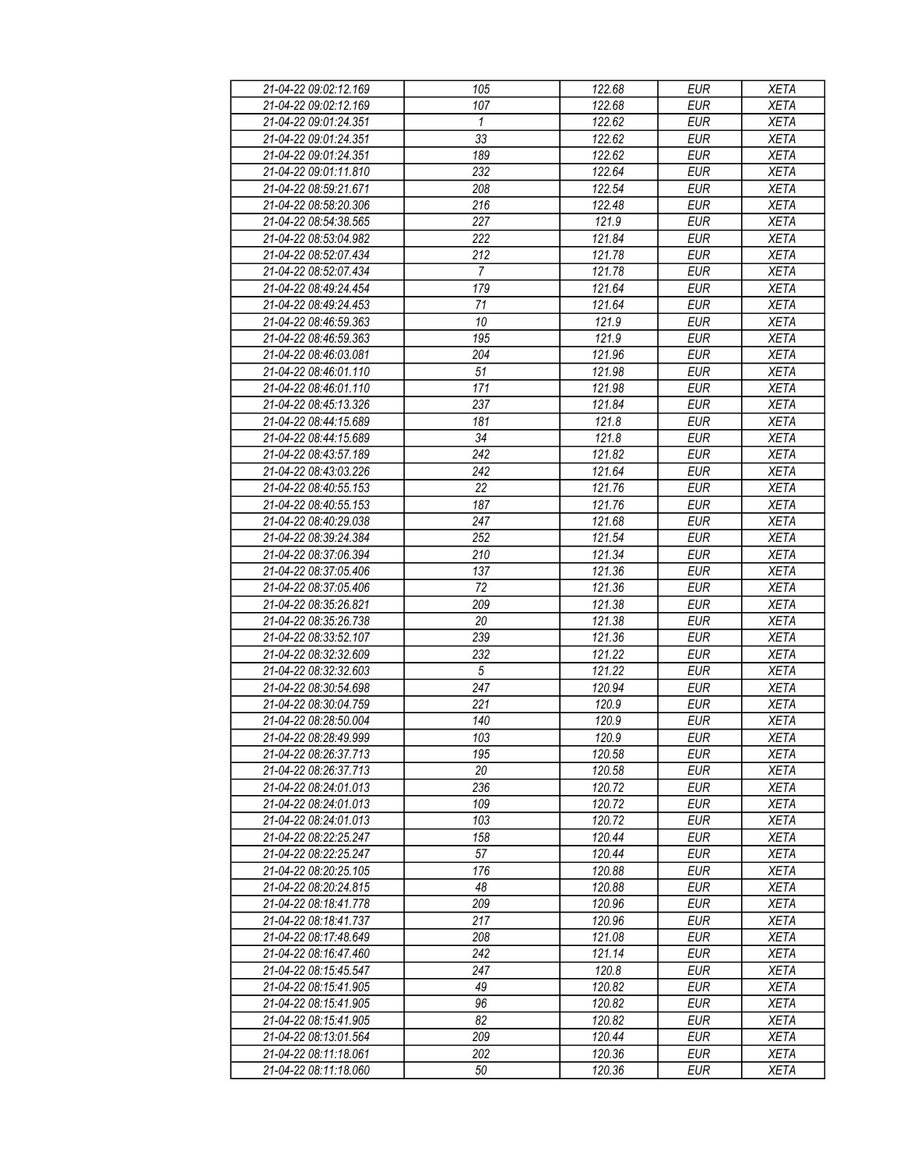| 21-04-22 09:02:12.169 | 105              | 122.68 | <b>EUR</b> | <b>XETA</b> |
|-----------------------|------------------|--------|------------|-------------|
| 21-04-22 09:02:12.169 | 107              | 122.68 | <b>EUR</b> | <b>XETA</b> |
| 21-04-22 09:01:24.351 | $\overline{1}$   | 122.62 | <b>EUR</b> | <b>XETA</b> |
| 21-04-22 09:01:24.351 | 33               | 122.62 | <b>EUR</b> | <b>XETA</b> |
| 21-04-22 09:01:24.351 | 189              | 122.62 | <b>EUR</b> | <b>XETA</b> |
| 21-04-22 09:01:11.810 | 232              | 122.64 | <b>EUR</b> | <b>XETA</b> |
|                       |                  |        |            |             |
| 21-04-22 08:59:21.671 | 208              | 122.54 | <b>EUR</b> | <b>XETA</b> |
| 21-04-22 08:58:20.306 | 216              | 122.48 | <b>EUR</b> | XETA        |
| 21-04-22 08:54:38.565 | 227              | 121.9  | <b>EUR</b> | <b>XETA</b> |
| 21-04-22 08:53:04.982 | 222              | 121.84 | <b>EUR</b> | <b>XETA</b> |
| 21-04-22 08:52:07.434 | 212              | 121.78 | <b>EUR</b> | <b>XETA</b> |
| 21-04-22 08:52:07.434 | $\overline{7}$   | 121.78 | <b>EUR</b> | <b>XETA</b> |
| 21-04-22 08:49:24.454 | 179              | 121.64 | <b>EUR</b> | <b>XETA</b> |
| 21-04-22 08:49:24.453 | 71               | 121.64 | <b>EUR</b> | <b>XETA</b> |
| 21-04-22 08:46:59.363 | 10               | 121.9  | <b>EUR</b> | <b>XETA</b> |
| 21-04-22 08:46:59.363 | 195              | 121.9  | <b>EUR</b> | <b>XETA</b> |
| 21-04-22 08:46:03.081 | 204              | 121.96 | <b>EUR</b> | <b>XETA</b> |
| 21-04-22 08:46:01.110 | 51               | 121.98 | <b>EUR</b> | <b>XETA</b> |
| 21-04-22 08:46:01.110 | 171              | 121.98 | <b>EUR</b> | <b>XETA</b> |
| 21-04-22 08:45:13.326 | 237              | 121.84 | <b>EUR</b> | <b>XETA</b> |
| 21-04-22 08:44:15.689 | 181              | 121.8  | <b>EUR</b> | <b>XETA</b> |
| 21-04-22 08:44:15.689 | 34               | 121.8  | <b>EUR</b> | <b>XETA</b> |
|                       |                  |        |            |             |
| 21-04-22 08:43:57.189 | 242              | 121.82 | <b>EUR</b> | <b>XETA</b> |
| 21-04-22 08:43:03.226 | 242              | 121.64 | <b>EUR</b> | <b>XETA</b> |
| 21-04-22 08:40:55.153 | 22               | 121.76 | <b>EUR</b> | <b>XETA</b> |
| 21-04-22 08:40:55.153 | 187              | 121.76 | <b>EUR</b> | <b>XETA</b> |
| 21-04-22 08:40:29.038 | 247              | 121.68 | <b>EUR</b> | <b>XETA</b> |
| 21-04-22 08:39:24.384 | 252              | 121.54 | <b>EUR</b> | <b>XETA</b> |
| 21-04-22 08:37:06.394 | 210              | 121.34 | <b>EUR</b> | <b>XETA</b> |
| 21-04-22 08:37:05.406 | 137              | 121.36 | <b>EUR</b> | <b>XETA</b> |
| 21-04-22 08:37:05.406 | 72               | 121.36 | <b>EUR</b> | <b>XETA</b> |
| 21-04-22 08:35:26.821 | 209              | 121.38 | <b>EUR</b> | <b>XETA</b> |
| 21-04-22 08:35:26.738 | 20               | 121.38 | <b>EUR</b> | <b>XETA</b> |
| 21-04-22 08:33:52.107 | 239              | 121.36 | <b>EUR</b> | <b>XETA</b> |
| 21-04-22 08:32:32.609 | 232              | 121.22 | <b>EUR</b> | <b>XETA</b> |
| 21-04-22 08:32:32.603 | $\sqrt{5}$       | 121.22 | <b>EUR</b> | XETA        |
| 21-04-22 08:30:54.698 | $\overline{247}$ | 120.94 | <b>EUR</b> | XETA        |
| 21-04-22 08:30:04.759 | 221              | 120.9  | <b>EUR</b> | <b>XETA</b> |
| 21-04-22 08:28:50.004 | 140              | 120.9  | <b>EUR</b> | <b>XETA</b> |
| 21-04-22 08:28:49.999 | 103              | 120.9  | <b>EUR</b> | <b>XETA</b> |
| 21-04-22 08:26:37.713 | 195              | 120.58 | EUR        | XETA        |
| 21-04-22 08:26:37.713 | 20               | 120.58 | $E$ UR     |             |
|                       |                  |        |            | XETA        |
| 21-04-22 08:24:01.013 | 236              | 120.72 | <b>EUR</b> | XETA        |
| 21-04-22 08:24:01.013 | 109              | 120.72 | <b>EUR</b> | XETA        |
| 21-04-22 08:24:01.013 | 103              | 120.72 | <b>EUR</b> | XETA        |
| 21-04-22 08:22:25.247 | 158              | 120.44 | <b>EUR</b> | <b>XETA</b> |
| 21-04-22 08:22:25.247 | 57               | 120.44 | <b>EUR</b> | <b>XETA</b> |
| 21-04-22 08:20:25.105 | 176              | 120.88 | <b>EUR</b> | <b>XETA</b> |
| 21-04-22 08:20:24.815 | 48               | 120.88 | <b>EUR</b> | <b>XETA</b> |
| 21-04-22 08:18:41.778 | 209              | 120.96 | <b>EUR</b> | XETA        |
| 21-04-22 08:18:41.737 | 217              | 120.96 | <b>EUR</b> | <b>XETA</b> |
| 21-04-22 08:17:48.649 | 208              | 121.08 | <b>EUR</b> | XETA        |
| 21-04-22 08:16:47.460 | 242              | 121.14 | <b>EUR</b> | XETA        |
| 21-04-22 08:15:45.547 | 247              | 120.8  | EUR        | <b>XETA</b> |
| 21-04-22 08:15:41.905 | 49               | 120.82 | <b>EUR</b> | <b>XETA</b> |
| 21-04-22 08:15:41.905 | 96               | 120.82 | <b>EUR</b> | <b>XETA</b> |
| 21-04-22 08:15:41.905 | 82               | 120.82 | <b>EUR</b> | <b>XETA</b> |
| 21-04-22 08:13:01.564 | 209              | 120.44 | EUR        | XETA        |
| 21-04-22 08:11:18.061 | 202              | 120.36 | EUR        | XETA        |
|                       |                  |        |            |             |
| 21-04-22 08:11:18.060 | 50               | 120.36 | EUR        | XETA        |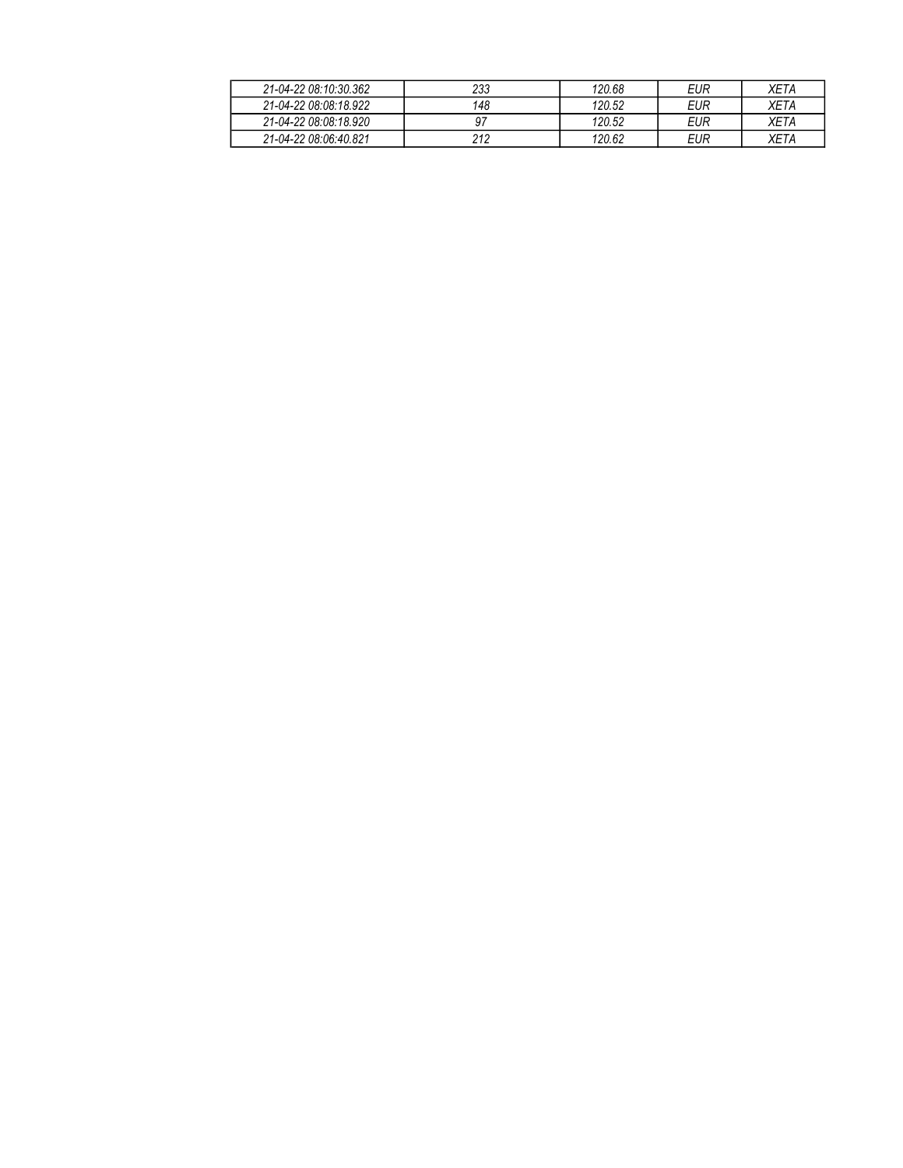| 21-04-22 08:10:30.362 | 233 | 120.68 | EUR | XETA |
|-----------------------|-----|--------|-----|------|
| 21-04-22 08:08:18.922 | 148 | 120.52 | EUR | ХЕТА |
| 21-04-22 08:08:18.920 |     | 120.52 | EUR | XETA |
| 21-04-22 08:06:40.821 | 212 | 120.62 | EUR | XETA |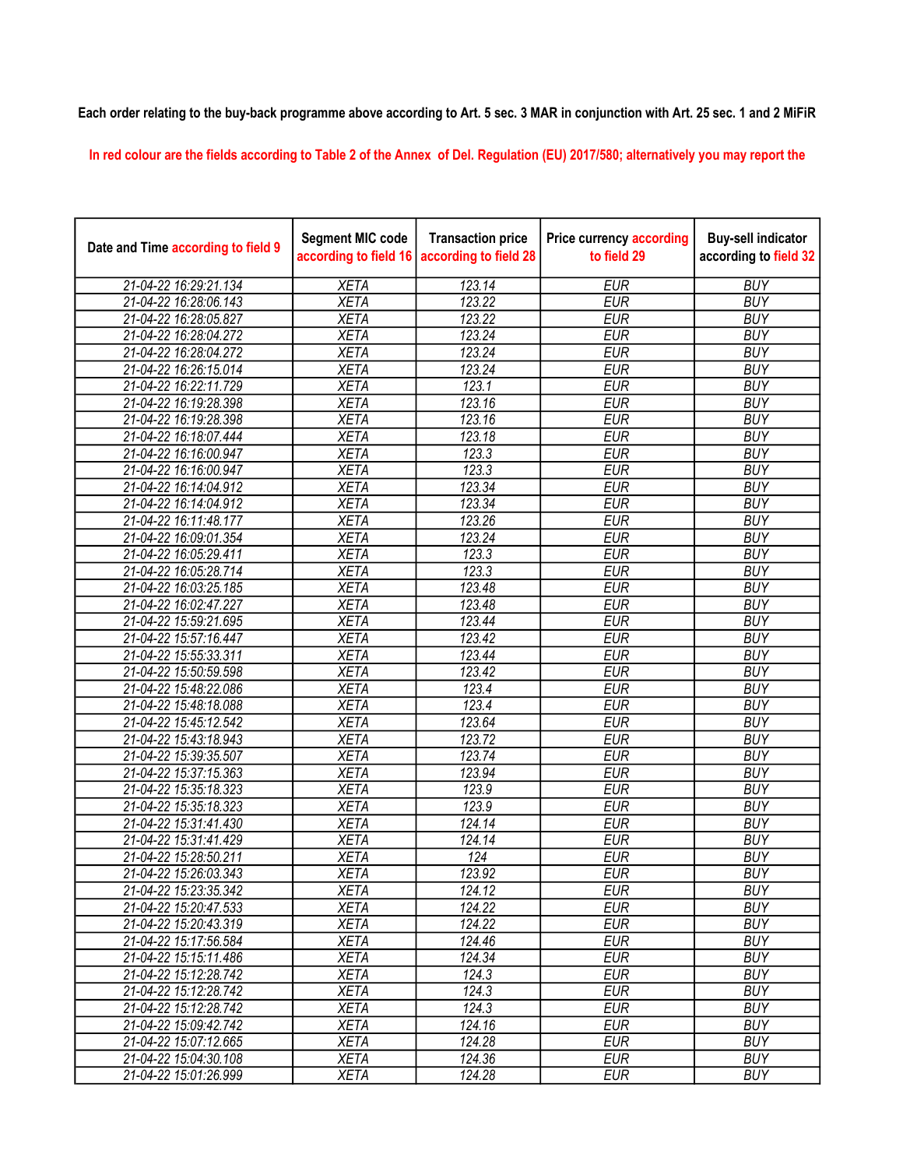## Each order relating to the buy-back programme above according to Art. 5 sec. 3 MAR in conjunction with Art. 25 sec. 1 and 2 MiFiR

In red colour are the fields according to Table 2 of the Annex of Del. Regulation (EU) 2017/580; alternatively you may report the

| Date and Time according to field 9 | <b>Segment MIC code</b><br>according to field 16 | <b>Transaction price</b><br>according to field 28 | <b>Price currency according</b><br>to field 29 | <b>Buy-sell indicator</b><br>according to field 32 |
|------------------------------------|--------------------------------------------------|---------------------------------------------------|------------------------------------------------|----------------------------------------------------|
| 21-04-22 16:29:21.134              | <b>XETA</b>                                      | 123.14                                            | <b>EUR</b>                                     | <b>BUY</b>                                         |
| 21-04-22 16:28:06.143              | <b>XETA</b>                                      | 123.22                                            | <b>EUR</b>                                     | <b>BUY</b>                                         |
| 21-04-22 16:28:05.827              | <b>XETA</b>                                      | 123.22                                            | <b>EUR</b>                                     | <b>BUY</b>                                         |
| 21-04-22 16:28:04.272              | <b>XETA</b>                                      | 123.24                                            | <b>EUR</b>                                     | <b>BUY</b>                                         |
| 21-04-22 16:28:04.272              | <b>XETA</b>                                      | 123.24                                            | <b>EUR</b>                                     | <b>BUY</b>                                         |
| 21-04-22 16:26:15.014              | <b>XETA</b>                                      | 123.24                                            | <b>EUR</b>                                     | <b>BUY</b>                                         |
| 21-04-22 16:22:11.729              | <b>XETA</b>                                      | 123.1                                             | <b>EUR</b>                                     | <b>BUY</b>                                         |
| 21-04-22 16:19:28.398              | <b>XETA</b>                                      | 123.16                                            | <b>EUR</b>                                     | <b>BUY</b>                                         |
| 21-04-22 16:19:28.398              | <b>XETA</b>                                      | 123.16                                            | <b>EUR</b>                                     | <b>BUY</b>                                         |
| 21-04-22 16:18:07.444              | <b>XETA</b>                                      | 123.18                                            | <b>EUR</b>                                     | <b>BUY</b>                                         |
| 21-04-22 16:16:00.947              | <b>XETA</b>                                      | 123.3                                             | <b>EUR</b>                                     | <b>BUY</b>                                         |
| 21-04-22 16:16:00.947              | <b>XETA</b>                                      | 123.3                                             | <b>EUR</b>                                     | <b>BUY</b>                                         |
| 21-04-22 16:14:04.912              | <b>XETA</b>                                      | 123.34                                            | <b>EUR</b>                                     | <b>BUY</b>                                         |
| 21-04-22 16:14:04.912              | <b>XETA</b>                                      | 123.34                                            | <b>EUR</b>                                     | <b>BUY</b>                                         |
| 21-04-22 16:11:48.177              | <b>XETA</b>                                      | 123.26                                            | <b>EUR</b>                                     | <b>BUY</b>                                         |
| 21-04-22 16:09:01.354              | <b>XETA</b>                                      | 123.24                                            | <b>EUR</b>                                     | <b>BUY</b>                                         |
| 21-04-22 16:05:29.411              | <b>XETA</b>                                      | 123.3                                             | <b>EUR</b>                                     | <b>BUY</b>                                         |
| 21-04-22 16:05:28.714              | <b>XETA</b>                                      | 123.3                                             | <b>EUR</b>                                     | <b>BUY</b>                                         |
| 21-04-22 16:03:25.185              | <b>XETA</b>                                      | 123.48                                            | <b>EUR</b>                                     | <b>BUY</b>                                         |
| 21-04-22 16:02:47.227              | <b>XETA</b>                                      | 123.48                                            | <b>EUR</b>                                     | <b>BUY</b>                                         |
| 21-04-22 15:59:21.695              | <b>XETA</b>                                      | 123.44                                            | <b>EUR</b>                                     | <b>BUY</b>                                         |
| 21-04-22 15:57:16.447              | <b>XETA</b>                                      | 123.42                                            | <b>EUR</b>                                     | <b>BUY</b>                                         |
| 21-04-22 15:55:33.311              | <b>XETA</b>                                      | 123.44                                            | <b>EUR</b>                                     | <b>BUY</b>                                         |
| 21-04-22 15:50:59.598              | <b>XETA</b>                                      | 123.42                                            | <b>EUR</b>                                     | <b>BUY</b>                                         |
| 21-04-22 15:48:22.086              | <b>XETA</b>                                      | 123.4                                             | <b>EUR</b>                                     | <b>BUY</b>                                         |
| 21-04-22 15:48:18.088              | <b>XETA</b>                                      | 123.4                                             | <b>EUR</b>                                     | <b>BUY</b>                                         |
| 21-04-22 15:45:12.542              | <b>XETA</b>                                      | 123.64                                            | <b>EUR</b>                                     | <b>BUY</b>                                         |
| 21-04-22 15:43:18.943              | <b>XETA</b>                                      | 123.72                                            | <b>EUR</b>                                     | <b>BUY</b>                                         |
| 21-04-22 15:39:35.507              | <b>XETA</b>                                      | 123.74                                            | <b>EUR</b>                                     | <b>BUY</b>                                         |
| 21-04-22 15:37:15.363              | <b>XETA</b>                                      | 123.94                                            | <b>EUR</b>                                     | <b>BUY</b>                                         |
| 21-04-22 15:35:18.323              | <b>XETA</b>                                      | 123.9                                             | <b>EUR</b>                                     | <b>BUY</b>                                         |
| 21-04-22 15:35:18.323              | <b>XETA</b>                                      | 123.9                                             | <b>EUR</b>                                     | <b>BUY</b>                                         |
| 21-04-22 15:31:41.430              | <b>XETA</b>                                      | 124.14                                            | <b>EUR</b>                                     | <b>BUY</b>                                         |
| 21-04-22 15:31:41.429              | <b>XETA</b>                                      | 124.14                                            | <b>EUR</b>                                     | <b>BUY</b>                                         |
| 21-04-22 15:28:50.211              | <b>XETA</b>                                      | 124                                               | <b>EUR</b>                                     | <b>BUY</b>                                         |
| 21-04-22 15:26:03.343              | <b>XETA</b>                                      | 123.92                                            | <b>EUR</b>                                     | <b>BUY</b>                                         |
| 21-04-22 15:23:35.342              | <b>XETA</b>                                      | 124.12                                            | <b>EUR</b>                                     | <b>BUY</b>                                         |
| 21-04-22 15:20:47.533              | <b>XETA</b>                                      | 124.22                                            | <b>EUR</b>                                     | <b>BUY</b>                                         |
| 21-04-22 15:20:43.319              | <b>XETA</b>                                      | 124.22                                            | <b>EUR</b>                                     | <b>BUY</b>                                         |
| 21-04-22 15:17:56.584              | <b>XETA</b>                                      | 124.46                                            | <b>EUR</b>                                     | <b>BUY</b>                                         |
| 21-04-22 15:15:11.486              | <b>XETA</b>                                      | 124.34                                            | <b>EUR</b>                                     | <b>BUY</b>                                         |
| 21-04-22 15:12:28.742              | <b>XETA</b>                                      | 124.3                                             | <b>EUR</b>                                     | <b>BUY</b>                                         |
| 21-04-22 15:12:28.742              | <b>XETA</b>                                      | 124.3                                             | <b>EUR</b>                                     | <b>BUY</b>                                         |
| 21-04-22 15:12:28.742              | <b>XETA</b>                                      | 124.3                                             | <b>EUR</b>                                     | <b>BUY</b>                                         |
| 21-04-22 15:09:42.742              | <b>XETA</b>                                      | 124.16                                            | <b>EUR</b>                                     | <b>BUY</b>                                         |
| 21-04-22 15:07:12.665              | <b>XETA</b>                                      | 124.28                                            | <b>EUR</b>                                     | <b>BUY</b>                                         |
| 21-04-22 15:04:30.108              | <b>XETA</b>                                      | 124.36                                            | <b>EUR</b>                                     | <b>BUY</b>                                         |
| 21-04-22 15:01:26.999              | <b>XETA</b>                                      | 124.28                                            | <b>EUR</b>                                     | <b>BUY</b>                                         |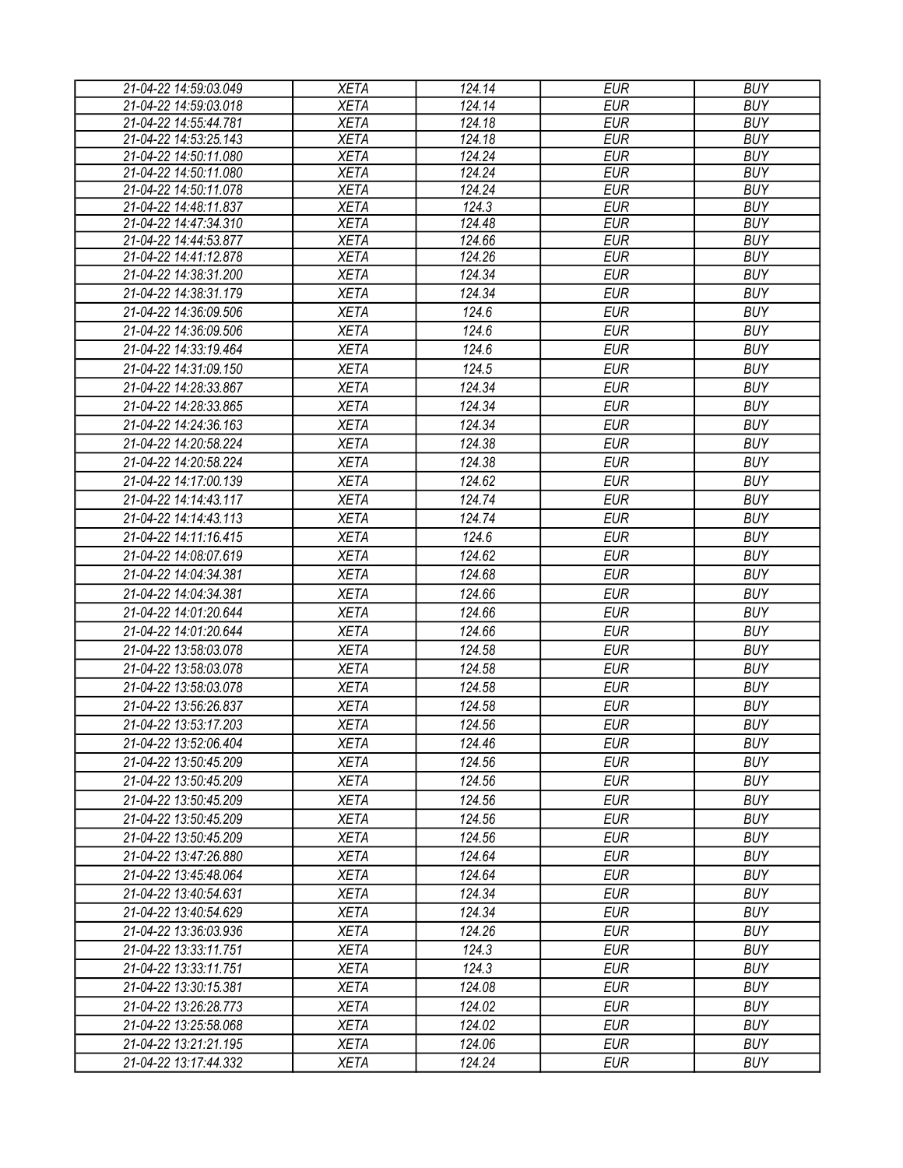| 21-04-22 14:59:03.049 | <b>XETA</b> | 124.14 | <b>EUR</b> | <b>BUY</b> |
|-----------------------|-------------|--------|------------|------------|
| 21-04-22 14:59:03.018 | <b>XETA</b> | 124.14 | <b>EUR</b> | <b>BUY</b> |
| 21-04-22 14:55:44.781 | <b>XETA</b> | 124.18 | <b>EUR</b> | <b>BUY</b> |
| 21-04-22 14:53:25.143 | <b>XETA</b> | 124.18 | <b>EUR</b> | <b>BUY</b> |
| 21-04-22 14:50:11.080 | <b>XETA</b> | 124.24 | <b>EUR</b> | <b>BUY</b> |
| 21-04-22 14:50:11.080 | <b>XETA</b> | 124.24 | <b>EUR</b> | <b>BUY</b> |
| 21-04-22 14:50:11.078 | <b>XETA</b> | 124.24 | <b>EUR</b> | <b>BUY</b> |
| 21-04-22 14:48:11.837 | <b>XETA</b> | 124.3  | <b>EUR</b> | <b>BUY</b> |
| 21-04-22 14:47:34.310 | <b>XETA</b> | 124.48 | <b>EUR</b> | <b>BUY</b> |
| 21-04-22 14:44:53.877 | <b>XETA</b> | 124.66 | <b>EUR</b> | <b>BUY</b> |
| 21-04-22 14:41:12.878 | <b>XETA</b> | 124.26 | <b>EUR</b> | <b>BUY</b> |
| 21-04-22 14:38:31.200 | <b>XETA</b> | 124.34 | <b>EUR</b> | <b>BUY</b> |
| 21-04-22 14:38:31.179 | <b>XETA</b> | 124.34 | <b>EUR</b> | <b>BUY</b> |
| 21-04-22 14:36:09.506 | <b>XETA</b> | 124.6  | <b>EUR</b> | <b>BUY</b> |
| 21-04-22 14:36:09.506 | <b>XETA</b> | 124.6  | <b>EUR</b> | <b>BUY</b> |
| 21-04-22 14:33:19.464 | <b>XETA</b> | 124.6  | <b>EUR</b> | <b>BUY</b> |
| 21-04-22 14:31:09.150 | <b>XETA</b> | 124.5  | <b>EUR</b> | <b>BUY</b> |
| 21-04-22 14:28:33.867 | <b>XETA</b> | 124.34 | <b>EUR</b> | <b>BUY</b> |
| 21-04-22 14:28:33.865 | <b>XETA</b> | 124.34 | <b>EUR</b> | <b>BUY</b> |
| 21-04-22 14:24:36.163 | <b>XETA</b> | 124.34 | <b>EUR</b> | <b>BUY</b> |
| 21-04-22 14:20:58.224 | <b>XETA</b> | 124.38 | <b>EUR</b> | <b>BUY</b> |
| 21-04-22 14:20:58.224 | <b>XETA</b> | 124.38 | EUR        | <b>BUY</b> |
| 21-04-22 14:17:00.139 | <b>XETA</b> | 124.62 | <b>EUR</b> | <b>BUY</b> |
| 21-04-22 14:14:43.117 | <b>XETA</b> | 124.74 | <b>EUR</b> | <b>BUY</b> |
| 21-04-22 14:14:43.113 | <b>XETA</b> | 124.74 | <b>EUR</b> | <b>BUY</b> |
| 21-04-22 14:11:16.415 | <b>XETA</b> | 124.6  | <b>EUR</b> | <b>BUY</b> |
| 21-04-22 14:08:07.619 | <b>XETA</b> | 124.62 | <b>EUR</b> | <b>BUY</b> |
| 21-04-22 14:04:34.381 | <b>XETA</b> |        | <b>EUR</b> | <b>BUY</b> |
|                       |             | 124.68 |            |            |
| 21-04-22 14:04:34.381 | <b>XETA</b> | 124.66 | <b>EUR</b> | <b>BUY</b> |
| 21-04-22 14:01:20.644 | <b>XETA</b> | 124.66 | <b>EUR</b> | <b>BUY</b> |
| 21-04-22 14:01:20.644 | <b>XETA</b> | 124.66 | <b>EUR</b> | <b>BUY</b> |
| 21-04-22 13:58:03.078 | <b>XETA</b> | 124.58 | <b>EUR</b> | <b>BUY</b> |
| 21-04-22 13:58:03.078 | <b>XETA</b> | 124.58 | <b>EUR</b> | <b>BUY</b> |
| 21-04-22 13:58:03.078 | <b>XETA</b> | 124.58 | <b>EUR</b> | <b>BUY</b> |
| 21-04-22 13:56:26.837 | <b>XETA</b> | 124.58 | <b>EUR</b> | <b>BUY</b> |
| 21-04-22 13:53:17.203 | <b>XETA</b> | 124.56 | <b>EUR</b> | <b>BUY</b> |
| 21-04-22 13:52:06.404 | <b>XETA</b> | 124.46 | <b>EUR</b> | <b>BUY</b> |
| 21-04-22 13:50:45.209 | <b>XETA</b> | 124.56 | <b>EUR</b> | <b>BUY</b> |
| 21-04-22 13:50:45.209 | <b>XETA</b> | 124.56 | <b>EUR</b> | <b>BUY</b> |
| 21-04-22 13:50:45.209 | <b>XETA</b> | 124.56 | <b>EUR</b> | <b>BUY</b> |
| 21-04-22 13:50:45.209 | <b>XETA</b> | 124.56 | <b>EUR</b> | <b>BUY</b> |
| 21-04-22 13:50:45.209 | <b>XETA</b> | 124.56 | <b>EUR</b> | <b>BUY</b> |
| 21-04-22 13:47:26.880 | <b>XETA</b> | 124.64 | <b>EUR</b> | <b>BUY</b> |
| 21-04-22 13:45:48.064 | <b>XETA</b> | 124.64 | <b>EUR</b> | <b>BUY</b> |
| 21-04-22 13:40:54.631 | <b>XETA</b> | 124.34 | <b>EUR</b> | <b>BUY</b> |
| 21-04-22 13:40:54.629 | <b>XETA</b> | 124.34 | <b>EUR</b> | <b>BUY</b> |
| 21-04-22 13:36:03.936 | <b>XETA</b> | 124.26 | EUR        | <b>BUY</b> |
| 21-04-22 13:33:11.751 | <b>XETA</b> | 124.3  | <b>EUR</b> | <b>BUY</b> |
|                       |             |        |            |            |
| 21-04-22 13:33:11.751 | <b>XETA</b> | 124.3  | <b>EUR</b> | <b>BUY</b> |
| 21-04-22 13:30:15.381 | <b>XETA</b> | 124.08 | <b>EUR</b> | <b>BUY</b> |
| 21-04-22 13:26:28.773 | <b>XETA</b> | 124.02 | <b>EUR</b> | <b>BUY</b> |
| 21-04-22 13:25:58.068 | <b>XETA</b> | 124.02 | <b>EUR</b> | <b>BUY</b> |
| 21-04-22 13:21:21.195 | <b>XETA</b> | 124.06 | <b>EUR</b> | <b>BUY</b> |
| 21-04-22 13:17:44.332 | <b>XETA</b> | 124.24 | <b>EUR</b> | <b>BUY</b> |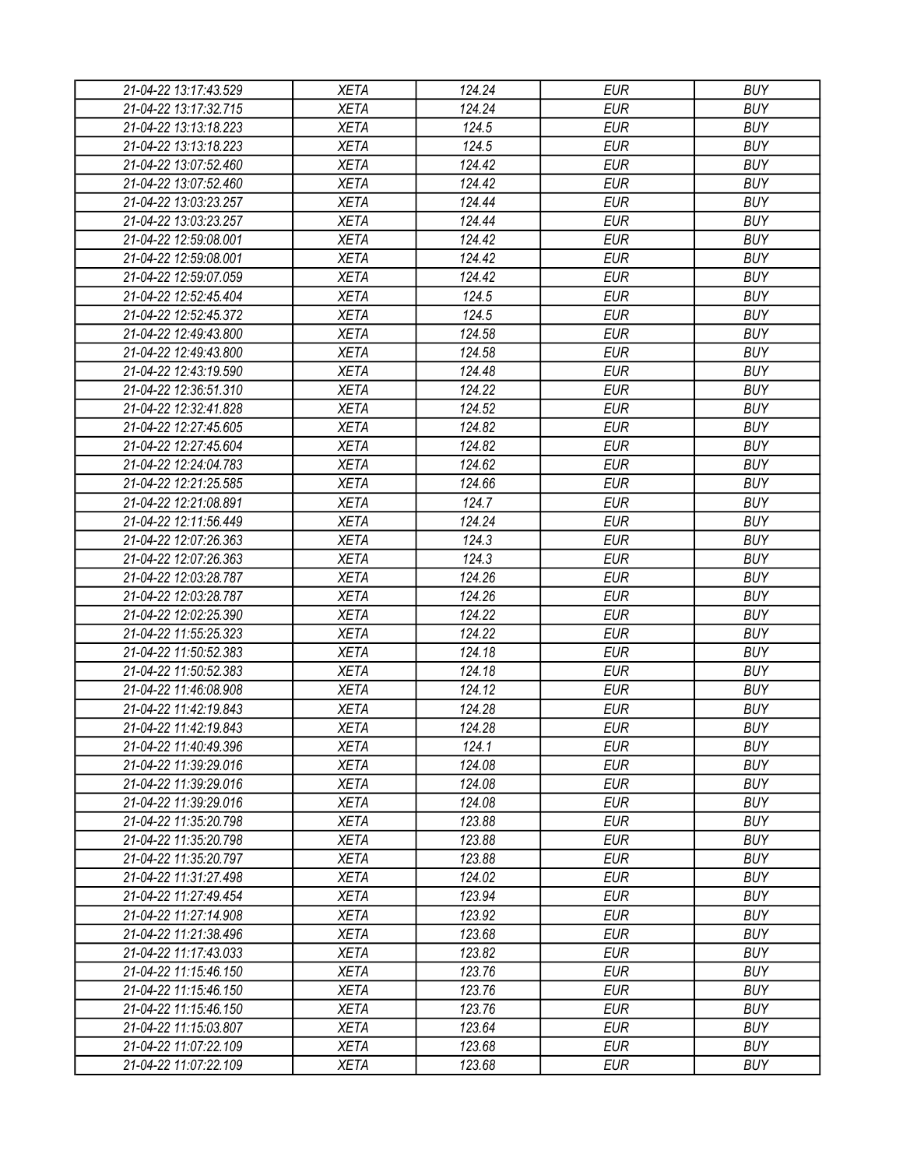| 21-04-22 13:17:43.529 | <b>XETA</b> | 124.24          | <b>EUR</b> | <b>BUY</b> |
|-----------------------|-------------|-----------------|------------|------------|
| 21-04-22 13:17:32.715 | <b>XETA</b> | 124.24          | <b>EUR</b> | <b>BUY</b> |
| 21-04-22 13:13:18.223 | <b>XETA</b> | 124.5           | <b>EUR</b> | <b>BUY</b> |
| 21-04-22 13:13:18.223 | <b>XETA</b> | 124.5           | <b>EUR</b> | <b>BUY</b> |
| 21-04-22 13:07:52.460 | <b>XETA</b> | 124.42          | <b>EUR</b> | <b>BUY</b> |
| 21-04-22 13:07:52.460 | <b>XETA</b> | 124.42          | <b>EUR</b> | <b>BUY</b> |
| 21-04-22 13:03:23.257 | <b>XETA</b> | 124.44          | <b>EUR</b> | <b>BUY</b> |
| 21-04-22 13:03:23.257 | <b>XETA</b> | 124.44          | <b>EUR</b> | <b>BUY</b> |
| 21-04-22 12:59:08.001 | <b>XETA</b> | 124.42          | <b>EUR</b> | <b>BUY</b> |
| 21-04-22 12:59:08.001 | <b>XETA</b> | 124.42          | <b>EUR</b> | <b>BUY</b> |
| 21-04-22 12:59:07.059 | <b>XETA</b> | 124.42          | <b>EUR</b> | <b>BUY</b> |
| 21-04-22 12:52:45.404 | <b>XETA</b> | 124.5           | <b>EUR</b> | <b>BUY</b> |
| 21-04-22 12:52:45.372 | <b>XETA</b> | 124.5           | <b>EUR</b> | <b>BUY</b> |
| 21-04-22 12:49:43.800 | <b>XETA</b> | 124.58          | <b>EUR</b> | <b>BUY</b> |
| 21-04-22 12:49:43.800 | <b>XETA</b> | 124.58          | <b>EUR</b> | <b>BUY</b> |
| 21-04-22 12:43:19.590 | <b>XETA</b> | 124.48          | <b>EUR</b> | <b>BUY</b> |
| 21-04-22 12:36:51.310 | <b>XETA</b> | 124.22          | <b>EUR</b> | <b>BUY</b> |
| 21-04-22 12:32:41.828 | <b>XETA</b> | 124.52          | <b>EUR</b> | <b>BUY</b> |
| 21-04-22 12:27:45.605 | <b>XETA</b> | 124.82          | <b>EUR</b> | <b>BUY</b> |
| 21-04-22 12:27:45.604 | <b>XETA</b> | 124.82          | <b>EUR</b> | <b>BUY</b> |
| 21-04-22 12:24:04.783 | <b>XETA</b> | 124.62          | <b>EUR</b> | <b>BUY</b> |
| 21-04-22 12:21:25.585 | <b>XETA</b> | 124.66          | <b>EUR</b> | <b>BUY</b> |
| 21-04-22 12:21:08.891 | <b>XETA</b> | 124.7           | <b>EUR</b> | <b>BUY</b> |
| 21-04-22 12:11:56.449 | <b>XETA</b> | 124.24          | <b>EUR</b> | <b>BUY</b> |
|                       |             |                 | <b>EUR</b> | <b>BUY</b> |
| 21-04-22 12:07:26.363 | <b>XETA</b> | 124.3           |            |            |
| 21-04-22 12:07:26.363 | <b>XETA</b> | 124.3<br>124.26 | <b>EUR</b> | <b>BUY</b> |
| 21-04-22 12:03:28.787 | <b>XETA</b> |                 | <b>EUR</b> | <b>BUY</b> |
| 21-04-22 12:03:28.787 | <b>XETA</b> | 124.26          | <b>EUR</b> | <b>BUY</b> |
| 21-04-22 12:02:25.390 | <b>XETA</b> | 124.22          | <b>EUR</b> | <b>BUY</b> |
| 21-04-22 11:55:25.323 | <b>XETA</b> | 124.22          | <b>EUR</b> | <b>BUY</b> |
| 21-04-22 11:50:52.383 | <b>XETA</b> | 124.18          | <b>EUR</b> | <b>BUY</b> |
| 21-04-22 11:50:52.383 | <b>XETA</b> | 124.18          | <b>EUR</b> | <b>BUY</b> |
| 21-04-22 11:46:08.908 | <b>XETA</b> | 124.12          | <b>EUR</b> | <b>BUY</b> |
| 21-04-22 11:42:19.843 | <b>XETA</b> | 124.28          | <b>EUR</b> | <b>BUY</b> |
| 21-04-22 11:42:19.843 | <b>XETA</b> | 124.28          | <b>EUR</b> | <b>BUY</b> |
| 21-04-22 11:40:49.396 | <b>XETA</b> | 124.1           | <b>EUR</b> | <b>BUY</b> |
| 21-04-22 11:39:29.016 | <b>XETA</b> | 124.08          | <b>EUR</b> | <b>BUY</b> |
| 21-04-22 11:39:29.016 | <b>XETA</b> | 124.08          | <b>EUR</b> | <b>BUY</b> |
| 21-04-22 11:39:29.016 | <b>XETA</b> | 124.08          | <b>EUR</b> | <b>BUY</b> |
| 21-04-22 11:35:20.798 | <b>XETA</b> | 123.88          | <b>EUR</b> | <b>BUY</b> |
| 21-04-22 11:35:20.798 | <b>XETA</b> | 123.88          | <b>EUR</b> | <b>BUY</b> |
| 21-04-22 11:35:20.797 | <b>XETA</b> | 123.88          | <b>EUR</b> | <b>BUY</b> |
| 21-04-22 11:31:27.498 | <b>XETA</b> | 124.02          | <b>EUR</b> | <b>BUY</b> |
| 21-04-22 11:27:49.454 | <b>XETA</b> | 123.94          | <b>EUR</b> | <b>BUY</b> |
| 21-04-22 11:27:14.908 | <b>XETA</b> | 123.92          | <b>EUR</b> | <b>BUY</b> |
| 21-04-22 11:21:38.496 | <b>XETA</b> | 123.68          | <b>EUR</b> | <b>BUY</b> |
| 21-04-22 11:17:43.033 | <b>XETA</b> | 123.82          | <b>EUR</b> | <b>BUY</b> |
| 21-04-22 11:15:46.150 | <b>XETA</b> | 123.76          | <b>EUR</b> | <b>BUY</b> |
| 21-04-22 11:15:46.150 | <b>XETA</b> | 123.76          | <b>EUR</b> | <b>BUY</b> |
| 21-04-22 11:15:46.150 | <b>XETA</b> | 123.76          | <b>EUR</b> | <b>BUY</b> |
| 21-04-22 11:15:03.807 | <b>XETA</b> | 123.64          | <b>EUR</b> | <b>BUY</b> |
| 21-04-22 11:07:22.109 | <b>XETA</b> | 123.68          | <b>EUR</b> | <b>BUY</b> |
| 21-04-22 11:07:22.109 | <b>XETA</b> | 123.68          | <b>EUR</b> | <b>BUY</b> |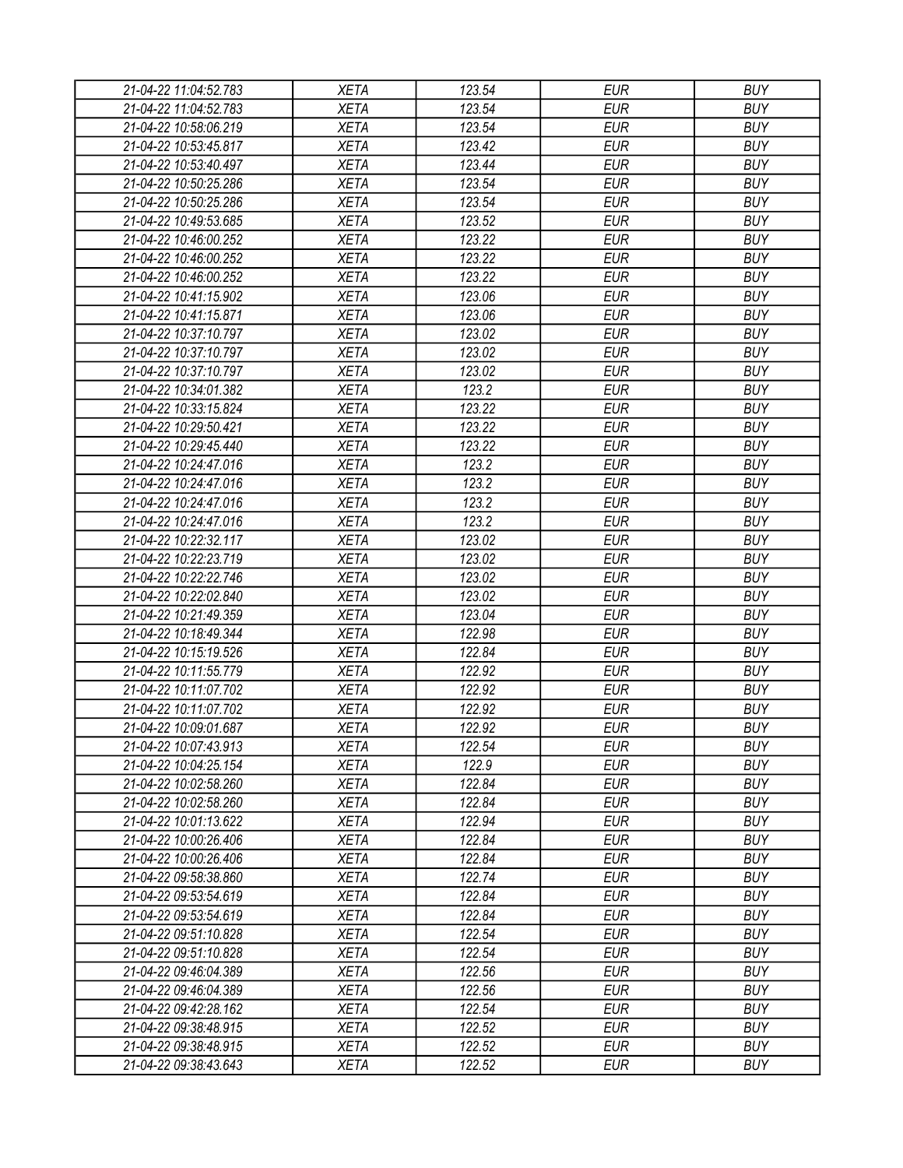| 21-04-22 11:04:52.783 | <b>XETA</b> | 123.54 | <b>EUR</b> | <b>BUY</b> |
|-----------------------|-------------|--------|------------|------------|
| 21-04-22 11:04:52.783 | <b>XETA</b> | 123.54 | <b>EUR</b> | <b>BUY</b> |
| 21-04-22 10:58:06.219 | <b>XETA</b> | 123.54 | <b>EUR</b> | <b>BUY</b> |
| 21-04-22 10:53:45.817 | <b>XETA</b> | 123.42 | <b>EUR</b> | <b>BUY</b> |
| 21-04-22 10:53:40.497 | <b>XETA</b> | 123.44 | <b>EUR</b> | <b>BUY</b> |
| 21-04-22 10:50:25.286 | <b>XETA</b> | 123.54 | <b>EUR</b> | <b>BUY</b> |
| 21-04-22 10:50:25.286 | <b>XETA</b> | 123.54 | <b>EUR</b> | <b>BUY</b> |
| 21-04-22 10:49:53.685 | <b>XETA</b> | 123.52 | <b>EUR</b> | <b>BUY</b> |
| 21-04-22 10:46:00.252 | <b>XETA</b> | 123.22 | <b>EUR</b> | <b>BUY</b> |
| 21-04-22 10:46:00.252 | <b>XETA</b> | 123.22 | <b>EUR</b> | <b>BUY</b> |
| 21-04-22 10:46:00.252 | <b>XETA</b> | 123.22 | <b>EUR</b> | <b>BUY</b> |
| 21-04-22 10:41:15.902 | <b>XETA</b> | 123.06 | <b>EUR</b> | <b>BUY</b> |
| 21-04-22 10:41:15.871 | <b>XETA</b> | 123.06 | <b>EUR</b> | <b>BUY</b> |
| 21-04-22 10:37:10.797 | <b>XETA</b> | 123.02 | <b>EUR</b> | <b>BUY</b> |
| 21-04-22 10:37:10.797 | <b>XETA</b> | 123.02 | <b>EUR</b> | <b>BUY</b> |
| 21-04-22 10:37:10.797 | <b>XETA</b> | 123.02 | <b>EUR</b> | <b>BUY</b> |
| 21-04-22 10:34:01.382 | <b>XETA</b> | 123.2  | <b>EUR</b> | <b>BUY</b> |
| 21-04-22 10:33:15.824 | <b>XETA</b> | 123.22 | <b>EUR</b> | <b>BUY</b> |
| 21-04-22 10:29:50.421 | <b>XETA</b> | 123.22 | <b>EUR</b> | <b>BUY</b> |
| 21-04-22 10:29:45.440 | <b>XETA</b> | 123.22 | <b>EUR</b> | <b>BUY</b> |
| 21-04-22 10:24:47.016 | <b>XETA</b> | 123.2  | <b>EUR</b> | <b>BUY</b> |
| 21-04-22 10:24:47.016 | <b>XETA</b> | 123.2  | <b>EUR</b> | <b>BUY</b> |
| 21-04-22 10:24:47.016 | <b>XETA</b> | 123.2  | <b>EUR</b> | <b>BUY</b> |
| 21-04-22 10:24:47.016 | <b>XETA</b> | 123.2  | <b>EUR</b> | <b>BUY</b> |
| 21-04-22 10:22:32.117 | <b>XETA</b> | 123.02 | <b>EUR</b> | <b>BUY</b> |
| 21-04-22 10:22:23.719 | <b>XETA</b> | 123.02 | <b>EUR</b> | <b>BUY</b> |
| 21-04-22 10:22:22.746 | <b>XETA</b> | 123.02 | <b>EUR</b> | <b>BUY</b> |
| 21-04-22 10:22:02.840 | <b>XETA</b> | 123.02 | <b>EUR</b> | <b>BUY</b> |
| 21-04-22 10:21:49.359 | <b>XETA</b> | 123.04 | <b>EUR</b> | <b>BUY</b> |
| 21-04-22 10:18:49.344 | <b>XETA</b> | 122.98 | <b>EUR</b> | <b>BUY</b> |
| 21-04-22 10:15:19.526 | <b>XETA</b> | 122.84 | <b>EUR</b> | <b>BUY</b> |
| 21-04-22 10:11:55.779 | <b>XETA</b> | 122.92 | <b>EUR</b> | <b>BUY</b> |
| 21-04-22 10:11:07.702 | <b>XETA</b> | 122.92 | <b>EUR</b> | <b>BUY</b> |
| 21-04-22 10:11:07.702 | <b>XETA</b> | 122.92 | <b>EUR</b> | <b>BUY</b> |
| 21-04-22 10:09:01.687 | <b>XETA</b> | 122.92 | <b>EUR</b> | <b>BUY</b> |
| 21-04-22 10:07:43.913 | <b>XETA</b> | 122.54 | <b>EUR</b> | <b>BUY</b> |
| 21-04-22 10:04:25.154 | <b>XETA</b> | 122.9  | <b>EUR</b> | <b>BUY</b> |
| 21-04-22 10:02:58.260 | <b>XETA</b> | 122.84 | <b>EUR</b> | <b>BUY</b> |
| 21-04-22 10:02:58.260 | <b>XETA</b> | 122.84 | <b>EUR</b> | <b>BUY</b> |
| 21-04-22 10:01:13.622 | <b>XETA</b> | 122.94 | <b>EUR</b> | <b>BUY</b> |
| 21-04-22 10:00:26.406 | <b>XETA</b> | 122.84 | <b>EUR</b> | <b>BUY</b> |
| 21-04-22 10:00:26.406 | <b>XETA</b> | 122.84 | <b>EUR</b> | <b>BUY</b> |
| 21-04-22 09:58:38.860 | <b>XETA</b> | 122.74 | <b>EUR</b> | <b>BUY</b> |
| 21-04-22 09:53:54.619 | <b>XETA</b> | 122.84 | <b>EUR</b> | <b>BUY</b> |
|                       |             |        |            |            |
| 21-04-22 09:53:54.619 | <b>XETA</b> | 122.84 | <b>EUR</b> | <b>BUY</b> |
| 21-04-22 09:51:10.828 | <b>XETA</b> | 122.54 | <b>EUR</b> | <b>BUY</b> |
| 21-04-22 09:51:10.828 | <b>XETA</b> | 122.54 | <b>EUR</b> | <b>BUY</b> |
| 21-04-22 09:46:04.389 | <b>XETA</b> | 122.56 | <b>EUR</b> | <b>BUY</b> |
| 21-04-22 09:46:04.389 | <b>XETA</b> | 122.56 | <b>EUR</b> | <b>BUY</b> |
| 21-04-22 09:42:28.162 | <b>XETA</b> | 122.54 | <b>EUR</b> | <b>BUY</b> |
| 21-04-22 09:38:48.915 | <b>XETA</b> | 122.52 | EUR        | <b>BUY</b> |
| 21-04-22 09:38:48.915 | XETA        | 122.52 | <b>EUR</b> | <b>BUY</b> |
| 21-04-22 09:38:43.643 | <b>XETA</b> | 122.52 | <b>EUR</b> | <b>BUY</b> |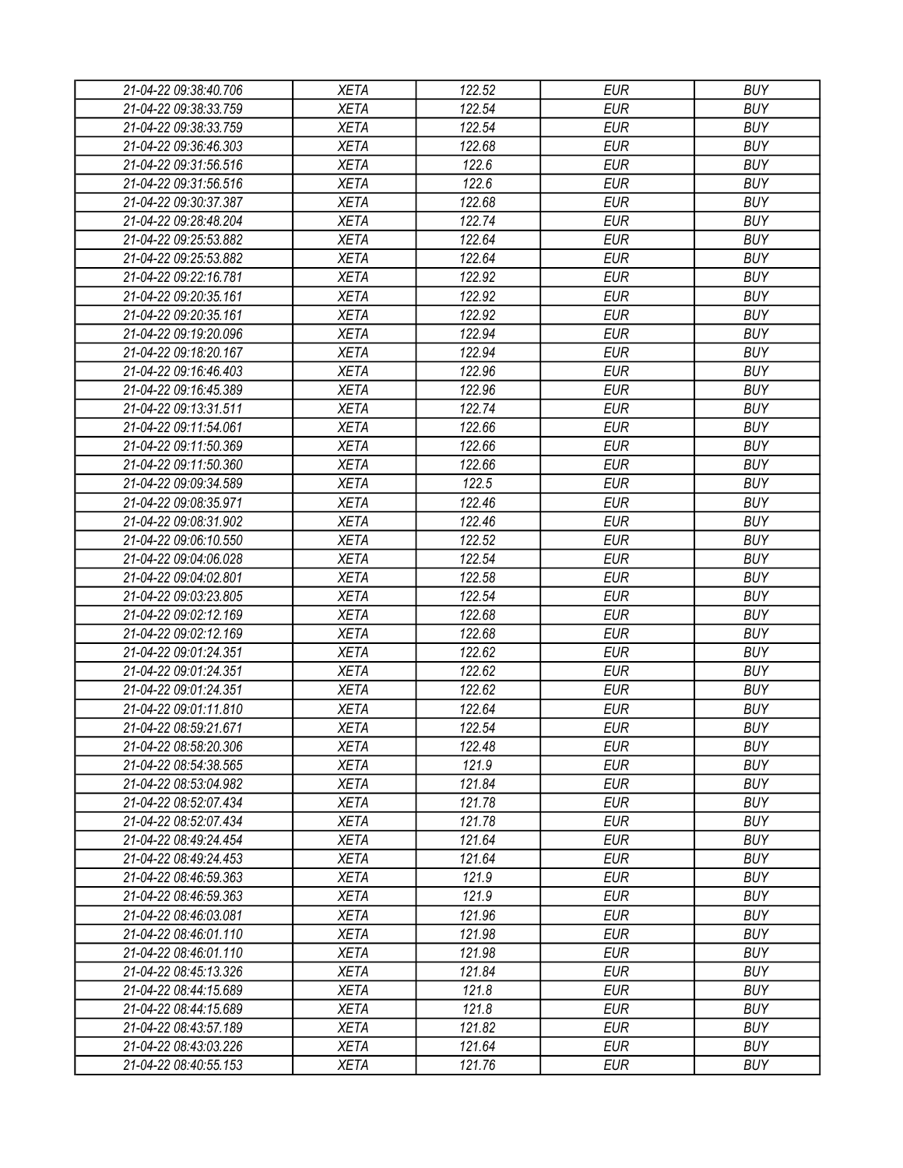| 21-04-22 09:38:40.706 | <b>XETA</b> | 122.52 | <b>EUR</b> | <b>BUY</b> |
|-----------------------|-------------|--------|------------|------------|
| 21-04-22 09:38:33.759 | <b>XETA</b> | 122.54 | <b>EUR</b> | <b>BUY</b> |
| 21-04-22 09:38:33.759 | <b>XETA</b> | 122.54 | <b>EUR</b> | <b>BUY</b> |
| 21-04-22 09:36:46.303 | <b>XETA</b> | 122.68 | <b>EUR</b> | <b>BUY</b> |
| 21-04-22 09:31:56.516 | <b>XETA</b> | 122.6  | <b>EUR</b> | <b>BUY</b> |
| 21-04-22 09:31:56.516 | <b>XETA</b> | 122.6  | <b>EUR</b> | <b>BUY</b> |
| 21-04-22 09:30:37.387 | <b>XETA</b> | 122.68 | <b>EUR</b> | <b>BUY</b> |
| 21-04-22 09:28:48.204 | <b>XETA</b> | 122.74 | <b>EUR</b> | <b>BUY</b> |
| 21-04-22 09:25:53.882 | <b>XETA</b> | 122.64 | <b>EUR</b> | <b>BUY</b> |
| 21-04-22 09:25:53.882 | <b>XETA</b> | 122.64 | <b>EUR</b> | <b>BUY</b> |
| 21-04-22 09:22:16.781 | <b>XETA</b> | 122.92 | <b>EUR</b> | <b>BUY</b> |
| 21-04-22 09:20:35.161 | <b>XETA</b> | 122.92 | <b>EUR</b> | <b>BUY</b> |
| 21-04-22 09:20:35.161 | <b>XETA</b> | 122.92 | <b>EUR</b> | <b>BUY</b> |
| 21-04-22 09:19:20.096 | <b>XETA</b> | 122.94 | <b>EUR</b> | <b>BUY</b> |
| 21-04-22 09:18:20.167 | <b>XETA</b> | 122.94 | <b>EUR</b> | <b>BUY</b> |
| 21-04-22 09:16:46.403 | <b>XETA</b> | 122.96 | <b>EUR</b> | <b>BUY</b> |
| 21-04-22 09:16:45.389 | <b>XETA</b> | 122.96 | <b>EUR</b> | <b>BUY</b> |
| 21-04-22 09:13:31.511 | <b>XETA</b> | 122.74 | <b>EUR</b> | <b>BUY</b> |
| 21-04-22 09:11:54.061 | <b>XETA</b> | 122.66 | <b>EUR</b> | <b>BUY</b> |
| 21-04-22 09:11:50.369 | <b>XETA</b> | 122.66 | <b>EUR</b> | <b>BUY</b> |
| 21-04-22 09:11:50.360 | <b>XETA</b> | 122.66 | <b>EUR</b> | <b>BUY</b> |
| 21-04-22 09:09:34.589 | <b>XETA</b> | 122.5  | <b>EUR</b> | <b>BUY</b> |
| 21-04-22 09:08:35.971 | <b>XETA</b> | 122.46 | <b>EUR</b> | <b>BUY</b> |
| 21-04-22 09:08:31.902 | <b>XETA</b> | 122.46 | <b>EUR</b> | <b>BUY</b> |
| 21-04-22 09:06:10.550 | <b>XETA</b> | 122.52 | <b>EUR</b> | <b>BUY</b> |
| 21-04-22 09:04:06.028 | <b>XETA</b> | 122.54 | <b>EUR</b> | <b>BUY</b> |
| 21-04-22 09:04:02.801 | <b>XETA</b> | 122.58 | <b>EUR</b> | <b>BUY</b> |
| 21-04-22 09:03:23.805 | <b>XETA</b> | 122.54 | <b>EUR</b> | <b>BUY</b> |
| 21-04-22 09:02:12.169 | <b>XETA</b> | 122.68 | <b>EUR</b> | <b>BUY</b> |
| 21-04-22 09:02:12.169 | <b>XETA</b> | 122.68 | <b>EUR</b> | <b>BUY</b> |
| 21-04-22 09:01:24.351 | <b>XETA</b> | 122.62 | <b>EUR</b> | <b>BUY</b> |
| 21-04-22 09:01:24.351 | <b>XETA</b> | 122.62 | <b>EUR</b> | <b>BUY</b> |
| 21-04-22 09:01:24.351 | <b>XETA</b> | 122.62 | <b>EUR</b> | <b>BUY</b> |
| 21-04-22 09:01:11.810 | <b>XETA</b> | 122.64 | <b>EUR</b> | <b>BUY</b> |
|                       |             | 122.54 | <b>EUR</b> | <b>BUY</b> |
| 21-04-22 08:59:21.671 | <b>XETA</b> |        |            |            |
| 21-04-22 08:58:20.306 | <b>XETA</b> | 122.48 | <b>EUR</b> | <b>BUY</b> |
| 21-04-22 08:54:38.565 | <b>XETA</b> | 121.9  | <b>EUR</b> | <b>BUY</b> |
| 21-04-22 08:53:04.982 | <b>XETA</b> | 121.84 | <b>EUR</b> | <b>BUY</b> |
| 21-04-22 08:52:07.434 | <b>XETA</b> | 121.78 | <b>EUR</b> | <b>BUY</b> |
| 21-04-22 08:52:07.434 | <b>XETA</b> | 121.78 | <b>EUR</b> | <b>BUY</b> |
| 21-04-22 08:49:24.454 | <b>XETA</b> | 121.64 | <b>EUR</b> | <b>BUY</b> |
| 21-04-22 08:49:24.453 | <b>XETA</b> | 121.64 | <b>EUR</b> | <b>BUY</b> |
| 21-04-22 08:46:59.363 | <b>XETA</b> | 121.9  | <b>EUR</b> | <b>BUY</b> |
| 21-04-22 08:46:59.363 | <b>XETA</b> | 121.9  | <b>EUR</b> | <b>BUY</b> |
| 21-04-22 08:46:03.081 | <b>XETA</b> | 121.96 | <b>EUR</b> | <b>BUY</b> |
| 21-04-22 08:46:01.110 | <b>XETA</b> | 121.98 | <b>EUR</b> | <b>BUY</b> |
| 21-04-22 08:46:01.110 | <b>XETA</b> | 121.98 | <b>EUR</b> | <b>BUY</b> |
| 21-04-22 08:45:13.326 | <b>XETA</b> | 121.84 | <b>EUR</b> | <b>BUY</b> |
| 21-04-22 08:44:15.689 | <b>XETA</b> | 121.8  | <b>EUR</b> | <b>BUY</b> |
| 21-04-22 08:44:15.689 | <b>XETA</b> | 121.8  | <b>EUR</b> | <b>BUY</b> |
| 21-04-22 08:43:57.189 | <b>XETA</b> | 121.82 | <b>EUR</b> | <b>BUY</b> |
| 21-04-22 08:43:03.226 | <b>XETA</b> | 121.64 | <b>EUR</b> | <b>BUY</b> |
| 21-04-22 08:40:55.153 | <b>XETA</b> | 121.76 | <b>EUR</b> | <b>BUY</b> |